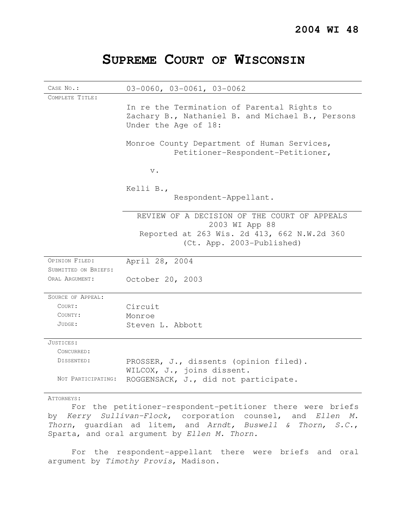# **SUPREME COURT OF WISCONSIN**

| CASE No.:            | $03-0060$ , $03-0061$ , $03-0062$                                                                                       |
|----------------------|-------------------------------------------------------------------------------------------------------------------------|
| COMPLETE TITLE:      |                                                                                                                         |
|                      | In re the Termination of Parental Rights to<br>Zachary B., Nathaniel B. and Michael B., Persons<br>Under the Age of 18: |
|                      | Monroe County Department of Human Services,<br>Petitioner-Respondent-Petitioner,                                        |
|                      | $\mathbf v$ .                                                                                                           |
|                      | Kelli B.,                                                                                                               |
|                      | Respondent-Appellant.                                                                                                   |
|                      | REVIEW OF A DECISION OF THE COURT OF APPEALS<br>2003 WI App 88                                                          |
|                      | Reported at 263 Wis. 2d 413, 662 N.W.2d 360<br>(Ct. App. 2003-Published)                                                |
| OPINION FILED:       | April 28, 2004                                                                                                          |
| SUBMITTED ON BRIEFS: |                                                                                                                         |
| ORAL ARGUMENT:       | October 20, 2003                                                                                                        |
| SOURCE OF APPEAL:    |                                                                                                                         |
| COURT:               | Circuit                                                                                                                 |
| COUNTY:              | Monroe                                                                                                                  |
| JUDGE:               | Steven L. Abbott                                                                                                        |
| JUSTICES:            |                                                                                                                         |
| CONCURRED:           |                                                                                                                         |
| DISSENTED:           | PROSSER, J., dissents (opinion filed).                                                                                  |
|                      | WILCOX, J., joins dissent.                                                                                              |
| NOT PARTICIPATING:   | ROGGENSACK, J., did not participate.                                                                                    |
| ATTORNEYS:           |                                                                                                                         |

For the petitioner-respondent-petitioner there were briefs by Kerry Sullivan-Flock, corporation counsel, and Ellen M. Thorn, guardian ad litem, and Arndt, Buswell & Thorn, S.C., Sparta, and oral argument by Ellen M. Thorn.

For the respondent-appellant there were briefs and oral argument by Timothy Provis, Madison.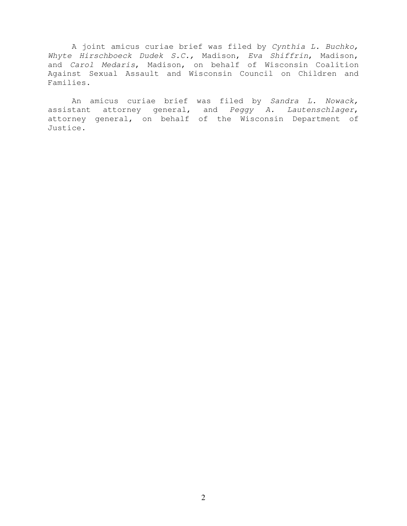A joint amicus curiae brief was filed by Cynthia L. Buchko, Whyte Hirschboeck Dudek S.C., Madison, Eva Shiffrin, Madison, and Carol Medaris, Madison, on behalf of Wisconsin Coalition Against Sexual Assault and Wisconsin Council on Children and Families.

An amicus curiae brief was filed by Sandra L. Nowack, assistant attorney general, and Peggy A. Lautenschlager, attorney general, on behalf of the Wisconsin Department of Justice.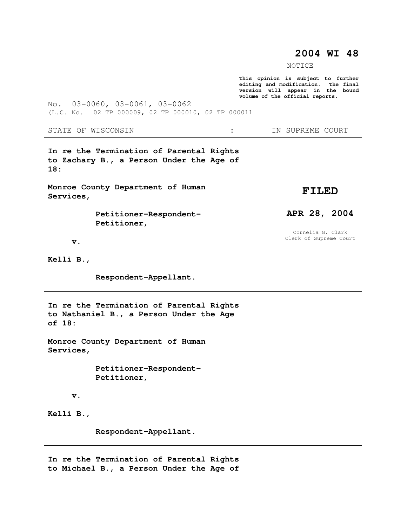# **2004 WI 48**

NOTICE

**This opinion is subject to further editing and modification. The final version will appear in the bound volume of the official reports.** 

No. 03-0060, 03-0061, 03-0062 (L.C. No. 02 TP 000009, 02 TP 000010, 02 TP 000011

STATE OF WISCONSIN  $\cdot$   $\cdot$  in SUPREME COURT

**In re the Termination of Parental Rights to Zachary B., a Person Under the Age of 18:** 

**Monroe County Department of Human Services,** 

> **Petitioner-Respondent- Petitioner,**

**FILED** 

**APR 28, 2004** 

Cornelia G. Clark Clerk of Supreme Court

 **v.** 

**Kelli B.,** 

 **Respondent-Appellant.** 

**In re the Termination of Parental Rights to Nathaniel B., a Person Under the Age of 18:** 

**Monroe County Department of Human Services,** 

> **Petitioner-Respondent- Petitioner,**

 **v.** 

**Kelli B.,** 

 **Respondent-Appellant.** 

**In re the Termination of Parental Rights to Michael B., a Person Under the Age of**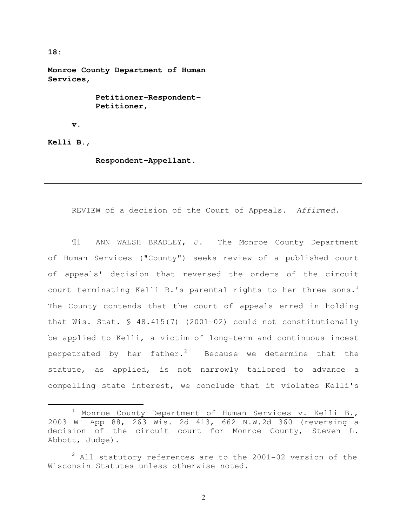**18:** 

**Monroe County Department of Human Services,** 

> **Petitioner-Respondent- Petitioner,**

 **v.** 

**Kelli B.,** 

 $\overline{a}$ 

 **Respondent-Appellant.** 

REVIEW of a decision of the Court of Appeals. Affirmed.

¶1 ANN WALSH BRADLEY, J. The Monroe County Department of Human Services ("County") seeks review of a published court of appeals' decision that reversed the orders of the circuit court terminating Kelli B.'s parental rights to her three sons.<sup>1</sup> The County contends that the court of appeals erred in holding that Wis. Stat. § 48.415(7) (2001-02) could not constitutionally be applied to Kelli, a victim of long-term and continuous incest perpetrated by her father.<sup>2</sup> Because we determine that the statute, as applied, is not narrowly tailored to advance a compelling state interest, we conclude that it violates Kelli's

Monroe County Department of Human Services v. Kelli B., 2003 WI App 88, 263 Wis. 2d 413, 662 N.W.2d 360 (reversing a decision of the circuit court for Monroe County, Steven L. Abbott, Judge).

 $2$  All statutory references are to the 2001-02 version of the Wisconsin Statutes unless otherwise noted.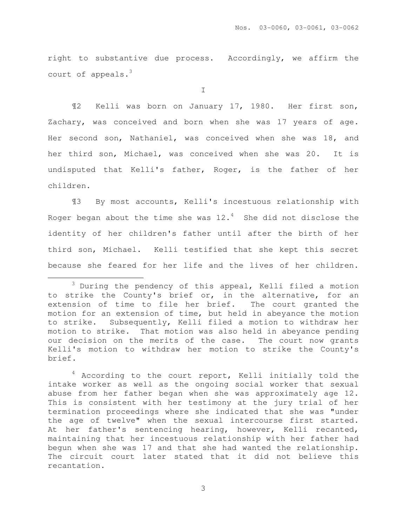right to substantive due process. Accordingly, we affirm the court of appeals. $3$ 

I

¶2 Kelli was born on January 17, 1980. Her first son, Zachary, was conceived and born when she was 17 years of age. Her second son, Nathaniel, was conceived when she was 18, and her third son, Michael, was conceived when she was 20. It is undisputed that Kelli's father, Roger, is the father of her children.

¶3 By most accounts, Kelli's incestuous relationship with Roger began about the time she was  $12.^4$  She did not disclose the identity of her children's father until after the birth of her third son, Michael. Kelli testified that she kept this secret because she feared for her life and the lives of her children.

 $\overline{a}$ 

<sup>&</sup>lt;sup>3</sup> During the pendency of this appeal, Kelli filed a motion to strike the County's brief or, in the alternative, for an extension of time to file her brief. The court granted the motion for an extension of time, but held in abeyance the motion to strike. Subsequently, Kelli filed a motion to withdraw her motion to strike. That motion was also held in abeyance pending our decision on the merits of the case. The court now grants Kelli's motion to withdraw her motion to strike the County's brief.

<sup>&</sup>lt;sup>4</sup> According to the court report, Kelli initially told the intake worker as well as the ongoing social worker that sexual abuse from her father began when she was approximately age 12. This is consistent with her testimony at the jury trial of her termination proceedings where she indicated that she was "under the age of twelve" when the sexual intercourse first started. At her father's sentencing hearing, however, Kelli recanted, maintaining that her incestuous relationship with her father had begun when she was 17 and that she had wanted the relationship. The circuit court later stated that it did not believe this recantation.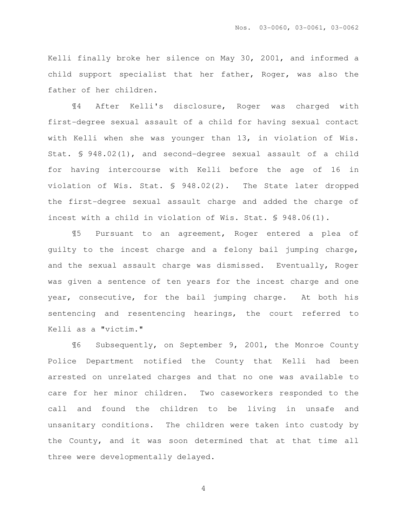Kelli finally broke her silence on May 30, 2001, and informed a child support specialist that her father, Roger, was also the father of her children.

¶4 After Kelli's disclosure, Roger was charged with first-degree sexual assault of a child for having sexual contact with Kelli when she was younger than 13, in violation of Wis. Stat. § 948.02(1), and second-degree sexual assault of a child for having intercourse with Kelli before the age of 16 in violation of Wis. Stat. § 948.02(2). The State later dropped the first-degree sexual assault charge and added the charge of incest with a child in violation of Wis. Stat. § 948.06(1).

¶5 Pursuant to an agreement, Roger entered a plea of guilty to the incest charge and a felony bail jumping charge, and the sexual assault charge was dismissed. Eventually, Roger was given a sentence of ten years for the incest charge and one year, consecutive, for the bail jumping charge. At both his sentencing and resentencing hearings, the court referred to Kelli as a "victim."

¶6 Subsequently, on September 9, 2001, the Monroe County Police Department notified the County that Kelli had been arrested on unrelated charges and that no one was available to care for her minor children. Two caseworkers responded to the call and found the children to be living in unsafe and unsanitary conditions. The children were taken into custody by the County, and it was soon determined that at that time all three were developmentally delayed.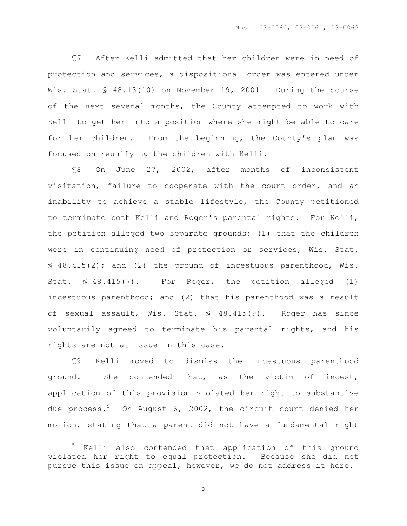¶7 After Kelli admitted that her children were in need of protection and services, a dispositional order was entered under Wis. Stat. § 48.13(10) on November 19, 2001. During the course of the next several months, the County attempted to work with Kelli to get her into a position where she might be able to care for her children. From the beginning, the County's plan was focused on reunifying the children with Kelli.

¶8 On June 27, 2002, after months of inconsistent visitation, failure to cooperate with the court order, and an inability to achieve a stable lifestyle, the County petitioned to terminate both Kelli and Roger's parental rights. For Kelli, the petition alleged two separate grounds: (1) that the children were in continuing need of protection or services, Wis. Stat. § 48.415(2); and (2) the ground of incestuous parenthood, Wis. Stat. § 48.415(7). For Roger, the petition alleged (1) incestuous parenthood; and (2) that his parenthood was a result of sexual assault, Wis. Stat. § 48.415(9). Roger has since voluntarily agreed to terminate his parental rights, and his rights are not at issue in this case.

¶9 Kelli moved to dismiss the incestuous parenthood ground. She contended that, as the victim of incest, application of this provision violated her right to substantive due process. $5$  On August 6, 2002, the circuit court denied her motion, stating that a parent did not have a fundamental right

 $\overline{a}$ 

<sup>5</sup> Kelli also contended that application of this ground violated her right to equal protection. Because she did not pursue this issue on appeal, however, we do not address it here.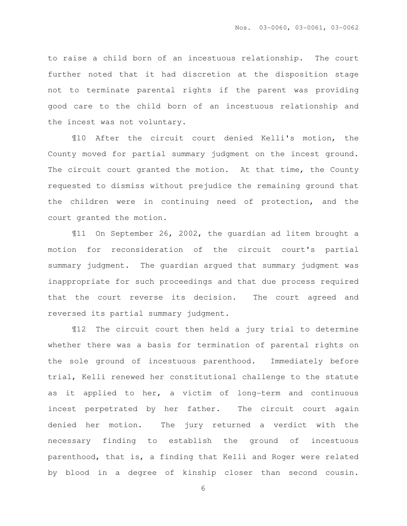to raise a child born of an incestuous relationship. The court further noted that it had discretion at the disposition stage not to terminate parental rights if the parent was providing good care to the child born of an incestuous relationship and the incest was not voluntary.

¶10 After the circuit court denied Kelli's motion, the County moved for partial summary judgment on the incest ground. The circuit court granted the motion. At that time, the County requested to dismiss without prejudice the remaining ground that the children were in continuing need of protection, and the court granted the motion.

¶11 On September 26, 2002, the guardian ad litem brought a motion for reconsideration of the circuit court's partial summary judgment. The guardian argued that summary judgment was inappropriate for such proceedings and that due process required that the court reverse its decision. The court agreed and reversed its partial summary judgment.

¶12 The circuit court then held a jury trial to determine whether there was a basis for termination of parental rights on the sole ground of incestuous parenthood. Immediately before trial, Kelli renewed her constitutional challenge to the statute as it applied to her, a victim of long-term and continuous incest perpetrated by her father. The circuit court again denied her motion. The jury returned a verdict with the necessary finding to establish the ground of incestuous parenthood, that is, a finding that Kelli and Roger were related by blood in a degree of kinship closer than second cousin.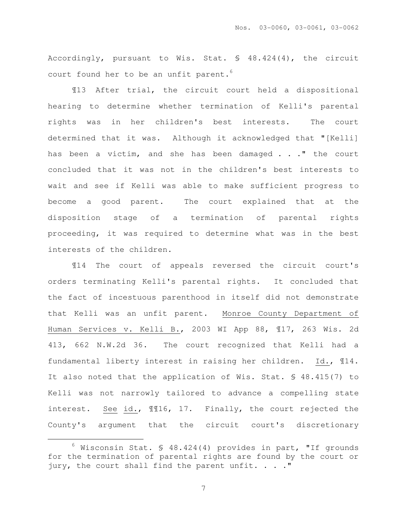Accordingly, pursuant to Wis. Stat. § 48.424(4), the circuit court found her to be an unfit parent.<sup>6</sup>

¶13 After trial, the circuit court held a dispositional hearing to determine whether termination of Kelli's parental rights was in her children's best interests. The court determined that it was. Although it acknowledged that "[Kelli] has been a victim, and she has been damaged . . ." the court concluded that it was not in the children's best interests to wait and see if Kelli was able to make sufficient progress to become a good parent. The court explained that at the disposition stage of a termination of parental rights proceeding, it was required to determine what was in the best interests of the children.

¶14 The court of appeals reversed the circuit court's orders terminating Kelli's parental rights. It concluded that the fact of incestuous parenthood in itself did not demonstrate that Kelli was an unfit parent. Monroe County Department of Human Services v. Kelli B., 2003 WI App 88, ¶17, 263 Wis. 2d 413, 662 N.W.2d 36. The court recognized that Kelli had a fundamental liberty interest in raising her children. Id., ¶14. It also noted that the application of Wis. Stat. § 48.415(7) to Kelli was not narrowly tailored to advance a compelling state interest. See id., ¶¶16, 17. Finally, the court rejected the County's argument that the circuit court's discretionary

 $\overline{a}$ 

 $6$  Wisconsin Stat. § 48.424(4) provides in part, "If grounds for the termination of parental rights are found by the court or jury, the court shall find the parent unfit. . . . "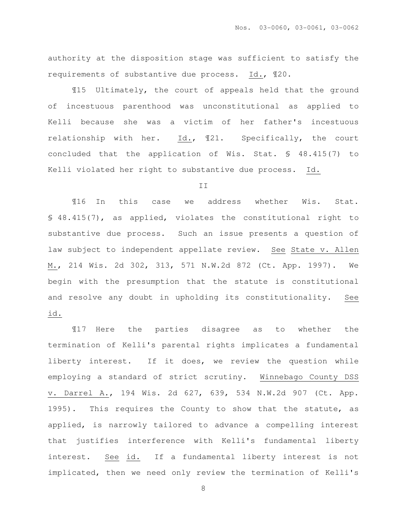authority at the disposition stage was sufficient to satisfy the requirements of substantive due process. Id., ¶20.

¶15 Ultimately, the court of appeals held that the ground of incestuous parenthood was unconstitutional as applied to Kelli because she was a victim of her father's incestuous relationship with her. Id., ¶21. Specifically, the court concluded that the application of Wis. Stat. § 48.415(7) to Kelli violated her right to substantive due process. Id.

#### II

¶16 In this case we address whether Wis. Stat. § 48.415(7), as applied, violates the constitutional right to substantive due process. Such an issue presents a question of law subject to independent appellate review. See State v. Allen M., 214 Wis. 2d 302, 313, 571 N.W.2d 872 (Ct. App. 1997). We begin with the presumption that the statute is constitutional and resolve any doubt in upholding its constitutionality. See id.

¶17 Here the parties disagree as to whether the termination of Kelli's parental rights implicates a fundamental liberty interest. If it does, we review the question while employing a standard of strict scrutiny. Winnebago County DSS v. Darrel A., 194 Wis. 2d 627, 639, 534 N.W.2d 907 (Ct. App. 1995). This requires the County to show that the statute, as applied, is narrowly tailored to advance a compelling interest that justifies interference with Kelli's fundamental liberty interest. See id. If a fundamental liberty interest is not implicated, then we need only review the termination of Kelli's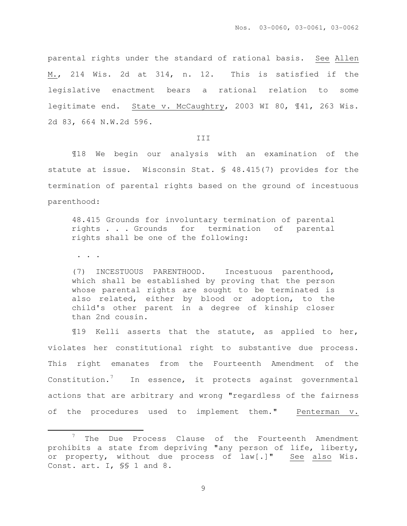parental rights under the standard of rational basis. See Allen M., 214 Wis. 2d at 314, n. 12. This is satisfied if the legislative enactment bears a rational relation to some legitimate end. State v. McCaughtry, 2003 WI 80, ¶41, 263 Wis. 2d 83, 664 N.W.2d 596.

#### III

¶18 We begin our analysis with an examination of the statute at issue. Wisconsin Stat. § 48.415(7) provides for the termination of parental rights based on the ground of incestuous parenthood:

48.415 Grounds for involuntary termination of parental rights . . . Grounds for termination of parental rights shall be one of the following:

. . .

 $\overline{a}$ 

(7) INCESTUOUS PARENTHOOD. Incestuous parenthood, which shall be established by proving that the person whose parental rights are sought to be terminated is also related, either by blood or adoption, to the child's other parent in a degree of kinship closer than 2nd cousin.

¶19 Kelli asserts that the statute, as applied to her, violates her constitutional right to substantive due process. This right emanates from the Fourteenth Amendment of the Constitution. $7$  In essence, it protects against governmental actions that are arbitrary and wrong "regardless of the fairness of the procedures used to implement them." Penterman v.

<sup>7</sup> The Due Process Clause of the Fourteenth Amendment prohibits a state from depriving "any person of life, liberty, or property, without due process of law[.]" See also Wis. Const. art. I, §§ 1 and 8.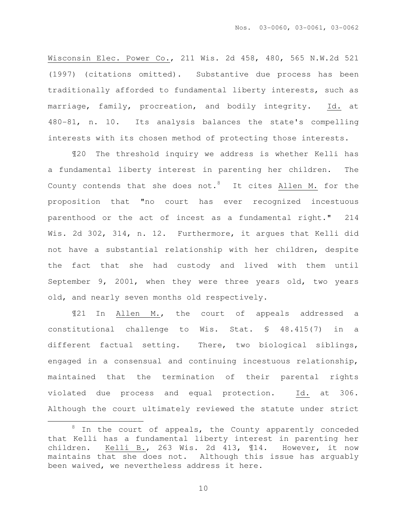Wisconsin Elec. Power Co., 211 Wis. 2d 458, 480, 565 N.W.2d 521 (1997) (citations omitted). Substantive due process has been traditionally afforded to fundamental liberty interests, such as marriage, family, procreation, and bodily integrity. Id. at 480-81, n. 10. Its analysis balances the state's compelling interests with its chosen method of protecting those interests.

¶20 The threshold inquiry we address is whether Kelli has a fundamental liberty interest in parenting her children. The County contends that she does not.<sup>8</sup> It cites  $\underline{\text{Allen M.}}$  for the proposition that "no court has ever recognized incestuous parenthood or the act of incest as a fundamental right." 214 Wis. 2d 302, 314, n. 12. Furthermore, it argues that Kelli did not have a substantial relationship with her children, despite the fact that she had custody and lived with them until September 9, 2001, when they were three years old, two years old, and nearly seven months old respectively.

¶21 In Allen M., the court of appeals addressed a constitutional challenge to Wis. Stat. § 48.415(7) in a different factual setting. There, two biological siblings, engaged in a consensual and continuing incestuous relationship, maintained that the termination of their parental rights violated due process and equal protection. Id. at 306. Although the court ultimately reviewed the statute under strict

 $\overline{a}$ 

<sup>&</sup>lt;sup>8</sup> In the court of appeals, the County apparently conceded that Kelli has a fundamental liberty interest in parenting her children. Kelli B., 263 Wis. 2d 413, ¶14. However, it now maintains that she does not. Although this issue has arguably been waived, we nevertheless address it here.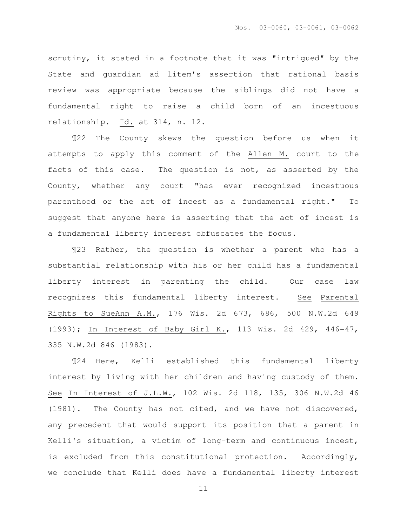scrutiny, it stated in a footnote that it was "intrigued" by the State and guardian ad litem's assertion that rational basis review was appropriate because the siblings did not have a fundamental right to raise a child born of an incestuous relationship. Id. at 314, n. 12.

¶22 The County skews the question before us when it attempts to apply this comment of the Allen M. court to the facts of this case. The question is not, as asserted by the County, whether any court "has ever recognized incestuous parenthood or the act of incest as a fundamental right." To suggest that anyone here is asserting that the act of incest is a fundamental liberty interest obfuscates the focus.

¶23 Rather, the question is whether a parent who has a substantial relationship with his or her child has a fundamental liberty interest in parenting the child. Our case law recognizes this fundamental liberty interest. See Parental Rights to SueAnn A.M., 176 Wis. 2d 673, 686, 500 N.W.2d 649 (1993); In Interest of Baby Girl K., 113 Wis. 2d 429, 446-47, 335 N.W.2d 846 (1983).

¶24 Here, Kelli established this fundamental liberty interest by living with her children and having custody of them. See In Interest of J.L.W., 102 Wis. 2d 118, 135, 306 N.W.2d 46 (1981). The County has not cited, and we have not discovered, any precedent that would support its position that a parent in Kelli's situation, a victim of long-term and continuous incest, is excluded from this constitutional protection. Accordingly, we conclude that Kelli does have a fundamental liberty interest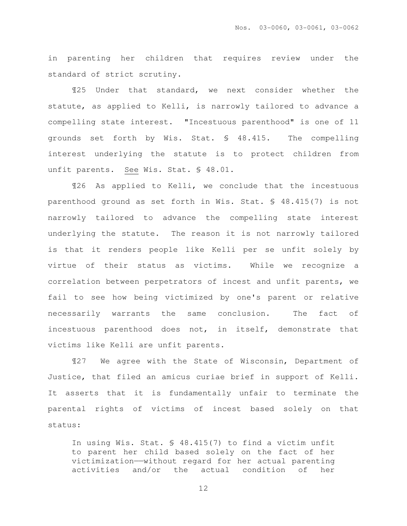in parenting her children that requires review under the standard of strict scrutiny.

¶25 Under that standard, we next consider whether the statute, as applied to Kelli, is narrowly tailored to advance a compelling state interest. "Incestuous parenthood" is one of 11 grounds set forth by Wis. Stat. § 48.415. The compelling interest underlying the statute is to protect children from unfit parents. See Wis. Stat. § 48.01.

¶26 As applied to Kelli, we conclude that the incestuous parenthood ground as set forth in Wis. Stat. § 48.415(7) is not narrowly tailored to advance the compelling state interest underlying the statute. The reason it is not narrowly tailored is that it renders people like Kelli per se unfit solely by virtue of their status as victims. While we recognize a correlation between perpetrators of incest and unfit parents, we fail to see how being victimized by one's parent or relative necessarily warrants the same conclusion. The fact of incestuous parenthood does not, in itself, demonstrate that victims like Kelli are unfit parents.

¶27 We agree with the State of Wisconsin, Department of Justice, that filed an amicus curiae brief in support of Kelli. It asserts that it is fundamentally unfair to terminate the parental rights of victims of incest based solely on that status:

In using Wis. Stat. § 48.415(7) to find a victim unfit to parent her child based solely on the fact of her victimization——without regard for her actual parenting activities and/or the actual condition of her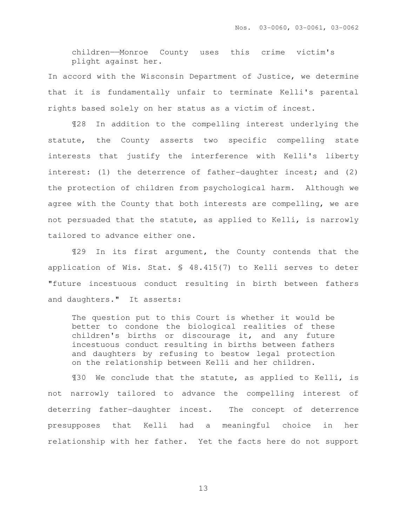children——Monroe County uses this crime victim's plight against her.

In accord with the Wisconsin Department of Justice, we determine that it is fundamentally unfair to terminate Kelli's parental rights based solely on her status as a victim of incest.

 ¶28 In addition to the compelling interest underlying the statute, the County asserts two specific compelling state interests that justify the interference with Kelli's liberty interest: (1) the deterrence of father-daughter incest; and (2) the protection of children from psychological harm. Although we agree with the County that both interests are compelling, we are not persuaded that the statute, as applied to Kelli, is narrowly tailored to advance either one.

¶29 In its first argument, the County contends that the application of Wis. Stat. § 48.415(7) to Kelli serves to deter "future incestuous conduct resulting in birth between fathers and daughters." It asserts:

The question put to this Court is whether it would be better to condone the biological realities of these children's births or discourage it, and any future incestuous conduct resulting in births between fathers and daughters by refusing to bestow legal protection on the relationship between Kelli and her children.

¶30 We conclude that the statute, as applied to Kelli, is not narrowly tailored to advance the compelling interest of deterring father-daughter incest. The concept of deterrence presupposes that Kelli had a meaningful choice in her relationship with her father. Yet the facts here do not support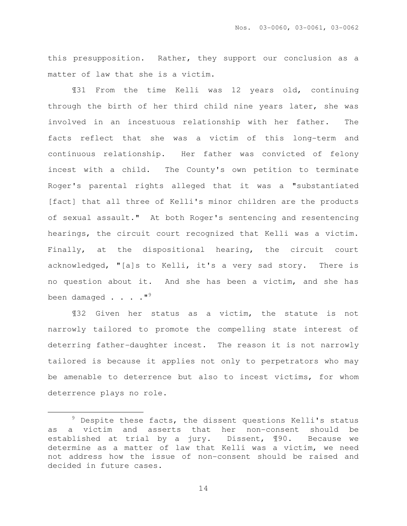this presupposition. Rather, they support our conclusion as a matter of law that she is a victim.

¶31 From the time Kelli was 12 years old, continuing through the birth of her third child nine years later, she was involved in an incestuous relationship with her father. The facts reflect that she was a victim of this long-term and continuous relationship. Her father was convicted of felony incest with a child. The County's own petition to terminate Roger's parental rights alleged that it was a "substantiated [fact] that all three of Kelli's minor children are the products of sexual assault." At both Roger's sentencing and resentencing hearings, the circuit court recognized that Kelli was a victim. Finally, at the dispositional hearing, the circuit court acknowledged, "[a]s to Kelli, it's a very sad story. There is no question about it. And she has been a victim, and she has been damaged  $\cdot \cdot \cdot \cdot$  "<sup>9</sup>

¶32 Given her status as a victim, the statute is not narrowly tailored to promote the compelling state interest of deterring father-daughter incest. The reason it is not narrowly tailored is because it applies not only to perpetrators who may be amenable to deterrence but also to incest victims, for whom deterrence plays no role.

 $\overline{a}$ 

 $9$  Despite these facts, the dissent questions Kelli's status as a victim and asserts that her non-consent should be established at trial by a jury. Dissent, ¶90. Because we determine as a matter of law that Kelli was a victim, we need not address how the issue of non-consent should be raised and decided in future cases.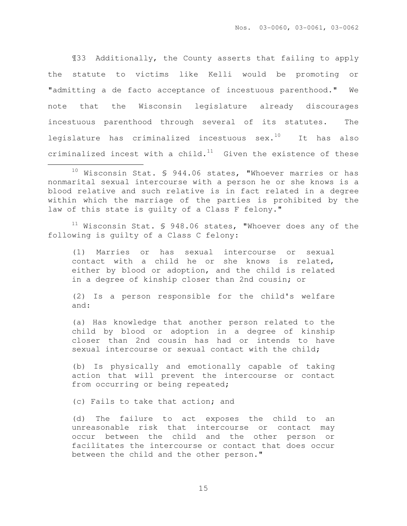¶33 Additionally, the County asserts that failing to apply the statute to victims like Kelli would be promoting or "admitting a de facto acceptance of incestuous parenthood." We note that the Wisconsin legislature already discourages incestuous parenthood through several of its statutes. The legislature has criminalized incestuous  $sex.^{10}$  It has also criminalized incest with a child. $11$  Given the existence of these  $\overline{a}$ 

 $11$  Wisconsin Stat. § 948.06 states, "Whoever does any of the following is guilty of a Class C felony:

(1) Marries or has sexual intercourse or sexual contact with a child he or she knows is related, either by blood or adoption, and the child is related in a degree of kinship closer than 2nd cousin; or

(2) Is a person responsible for the child's welfare and:

(a) Has knowledge that another person related to the child by blood or adoption in a degree of kinship closer than 2nd cousin has had or intends to have sexual intercourse or sexual contact with the child;

(b) Is physically and emotionally capable of taking action that will prevent the intercourse or contact from occurring or being repeated;

(c) Fails to take that action; and

(d) The failure to act exposes the child to an unreasonable risk that intercourse or contact may occur between the child and the other person or facilitates the intercourse or contact that does occur between the child and the other person."

 $10$  Wisconsin Stat. § 944.06 states, "Whoever marries or has nonmarital sexual intercourse with a person he or she knows is a blood relative and such relative is in fact related in a degree within which the marriage of the parties is prohibited by the law of this state is quilty of a Class F felony."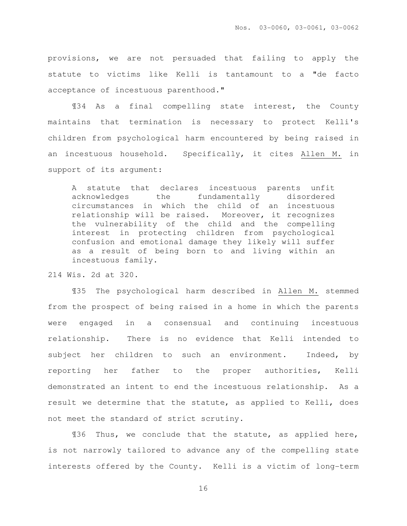provisions, we are not persuaded that failing to apply the statute to victims like Kelli is tantamount to a "de facto acceptance of incestuous parenthood."

¶34 As a final compelling state interest, the County maintains that termination is necessary to protect Kelli's children from psychological harm encountered by being raised in an incestuous household. Specifically, it cites Allen M. in support of its argument:

A statute that declares incestuous parents unfit acknowledges the fundamentally disordered circumstances in which the child of an incestuous relationship will be raised. Moreover, it recognizes the vulnerability of the child and the compelling interest in protecting children from psychological confusion and emotional damage they likely will suffer as a result of being born to and living within an incestuous family.

214 Wis. 2d at 320.

 ¶35 The psychological harm described in Allen M. stemmed from the prospect of being raised in a home in which the parents were engaged in a consensual and continuing incestuous relationship. There is no evidence that Kelli intended to subject her children to such an environment. Indeed, by reporting her father to the proper authorities, Kelli demonstrated an intent to end the incestuous relationship. As a result we determine that the statute, as applied to Kelli, does not meet the standard of strict scrutiny.

¶36 Thus, we conclude that the statute, as applied here, is not narrowly tailored to advance any of the compelling state interests offered by the County. Kelli is a victim of long-term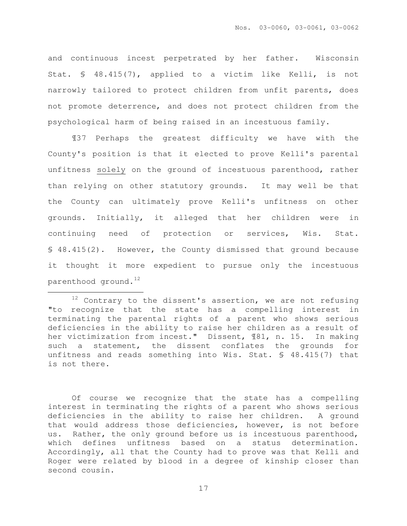and continuous incest perpetrated by her father. Wisconsin Stat. § 48.415(7), applied to a victim like Kelli, is not narrowly tailored to protect children from unfit parents, does not promote deterrence, and does not protect children from the psychological harm of being raised in an incestuous family.

¶37 Perhaps the greatest difficulty we have with the County's position is that it elected to prove Kelli's parental unfitness solely on the ground of incestuous parenthood, rather than relying on other statutory grounds. It may well be that the County can ultimately prove Kelli's unfitness on other grounds. Initially, it alleged that her children were in continuing need of protection or services, Wis. Stat. § 48.415(2). However, the County dismissed that ground because it thought it more expedient to pursue only the incestuous parenthood ground. $^{12}$ 

 $\overline{a}$ 

Of course we recognize that the state has a compelling interest in terminating the rights of a parent who shows serious deficiencies in the ability to raise her children. A ground that would address those deficiencies, however, is not before us. Rather, the only ground before us is incestuous parenthood, which defines unfitness based on a status determination. Accordingly, all that the County had to prove was that Kelli and Roger were related by blood in a degree of kinship closer than second cousin.

 $12$  Contrary to the dissent's assertion, we are not refusing "to recognize that the state has a compelling interest in terminating the parental rights of a parent who shows serious deficiencies in the ability to raise her children as a result of her victimization from incest." Dissent, ¶81, n. 15. In making such a statement, the dissent conflates the grounds for unfitness and reads something into Wis. Stat. § 48.415(7) that is not there.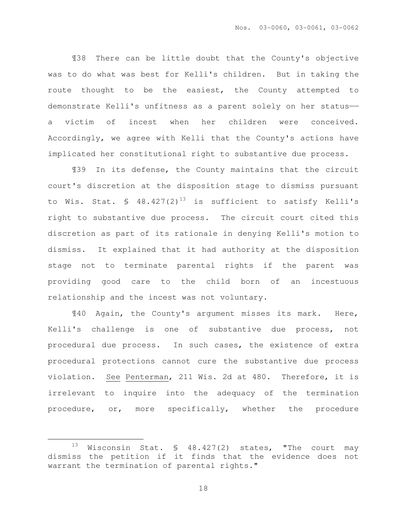¶38 There can be little doubt that the County's objective was to do what was best for Kelli's children. But in taking the route thought to be the easiest, the County attempted to demonstrate Kelli's unfitness as a parent solely on her status— a victim of incest when her children were conceived. Accordingly, we agree with Kelli that the County's actions have implicated her constitutional right to substantive due process.

¶39 In its defense, the County maintains that the circuit court's discretion at the disposition stage to dismiss pursuant to Wis. Stat. §  $48.427(2)^{13}$  is sufficient to satisfy Kelli's right to substantive due process. The circuit court cited this discretion as part of its rationale in denying Kelli's motion to dismiss. It explained that it had authority at the disposition stage not to terminate parental rights if the parent was providing good care to the child born of an incestuous relationship and the incest was not voluntary.

¶40 Again, the County's argument misses its mark. Here, Kelli's challenge is one of substantive due process, not procedural due process. In such cases, the existence of extra procedural protections cannot cure the substantive due process violation. See Penterman, 211 Wis. 2d at 480. Therefore, it is irrelevant to inquire into the adequacy of the termination procedure, or, more specifically, whether the procedure

 $\overline{a}$ 

<sup>&</sup>lt;sup>13</sup> Wisconsin Stat. § 48.427(2) states, "The court may dismiss the petition if it finds that the evidence does not warrant the termination of parental rights."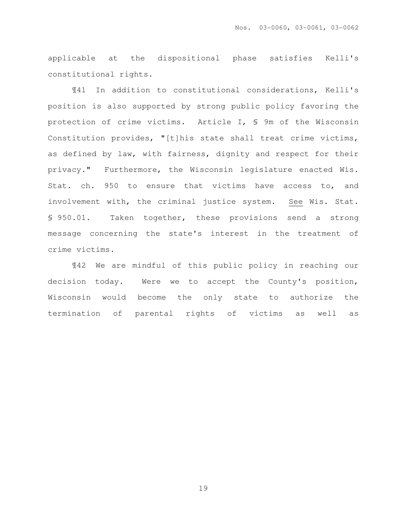applicable at the dispositional phase satisfies Kelli's constitutional rights.

¶41 In addition to constitutional considerations, Kelli's position is also supported by strong public policy favoring the protection of crime victims. Article I, § 9m of the Wisconsin Constitution provides, "[t]his state shall treat crime victims, as defined by law, with fairness, dignity and respect for their privacy." Furthermore, the Wisconsin legislature enacted Wis. Stat. ch. 950 to ensure that victims have access to, and involvement with, the criminal justice system. See Wis. Stat. § 950.01. Taken together, these provisions send a strong message concerning the state's interest in the treatment of crime victims.

¶42 We are mindful of this public policy in reaching our decision today. Were we to accept the County's position, Wisconsin would become the only state to authorize the termination of parental rights of victims as well as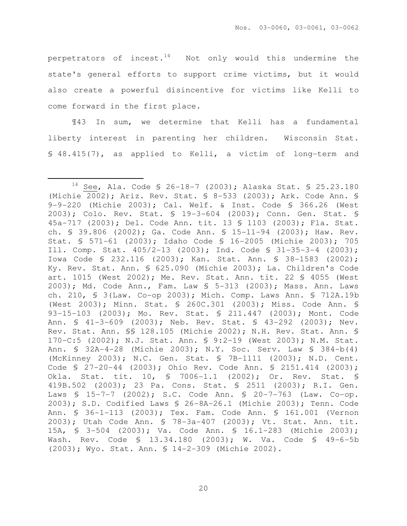perpetrators of incest.<sup>14</sup> Not only would this undermine the state's general efforts to support crime victims, but it would also create a powerful disincentive for victims like Kelli to come forward in the first place.

¶43 In sum, we determine that Kelli has a fundamental liberty interest in parenting her children. Wisconsin Stat. § 48.415(7), as applied to Kelli, a victim of long-term and

 $\overline{a}$ 

<sup>14</sup> See, Ala. Code § 26-18-7 (2003); Alaska Stat. § 25.23.180 (Michie 2002); Ariz. Rev. Stat. § 8-533 (2003); Ark. Code Ann. § 9-9-220 (Michie 2003); Cal. Welf. & Inst. Code § 366.26 (West 2003); Colo. Rev. Stat. § 19-3-604 (2003); Conn. Gen. Stat. § 45a-717 (2003); Del. Code Ann. tit. 13 § 1103 (2003); Fla. Stat. ch. § 39.806 (2002); Ga. Code Ann. § 15-11-94 (2003); Haw. Rev. Stat. § 571-61 (2003); Idaho Code § 16-2005 (Michie 2003); 705 Ill. Comp. Stat. 405/2-13 (2003); Ind. Code § 31-35-3-4 (2003); Iowa Code § 232.116 (2003); Kan. Stat. Ann. § 38-1583 (2002); Ky. Rev. Stat. Ann. § 625.090 (Michie 2003); La. Children's Code art. 1015 (West 2002); Me. Rev. Stat. Ann. tit. 22 § 4055 (West 2003); Md. Code Ann., Fam. Law § 5-313 (2003); Mass. Ann. Laws ch. 210, § 3(Law. Co-op 2003); Mich. Comp. Laws Ann. § 712A.19b (West 2003); Minn. Stat. § 260C.301 (2003); Miss. Code Ann. § 93-15-103 (2003); Mo. Rev. Stat. § 211.447 (2003); Mont. Code Ann. § 41-3-609 (2003); Neb. Rev. Stat. § 43-292 (2003); Nev. Rev. Stat. Ann. §§ 128.105 (Michie 2002); N.H. Rev. Stat. Ann. § 170-C:5 (2002); N.J. Stat. Ann. § 9:2-19 (West 2003); N.M. Stat. Ann. § 32A-4-28 (Michie 2003); N.Y. Soc. Serv. Law § 384-b(4) (McKinney 2003); N.C. Gen. Stat. § 7B-1111 (2003); N.D. Cent. Code § 27-20-44 (2003); Ohio Rev. Code Ann. § 2151.414 (2003); Okla. Stat. tit. 10, § 7006-1.1 (2002); Or. Rev. Stat. § 419B.502 (2003); 23 Pa. Cons. Stat. § 2511 (2003); R.I. Gen. Laws § 15-7-7 (2002); S.C. Code Ann. § 20-7-763 (Law. Co-op. 2003); S.D. Codified Laws § 26-8A-26.1 (Michie 2003); Tenn. Code Ann. § 36-1-113 (2003); Tex. Fam. Code Ann. § 161.001 (Vernon 2003); Utah Code Ann. § 78-3a-407 (2003); Vt. Stat. Ann. tit. 15A, § 3-504 (2003); Va. Code Ann. § 16.1-283 (Michie 2003); Wash. Rev. Code § 13.34.180 (2003); W. Va. Code § 49-6-5b (2003); Wyo. Stat. Ann. § 14-2-309 (Michie 2002).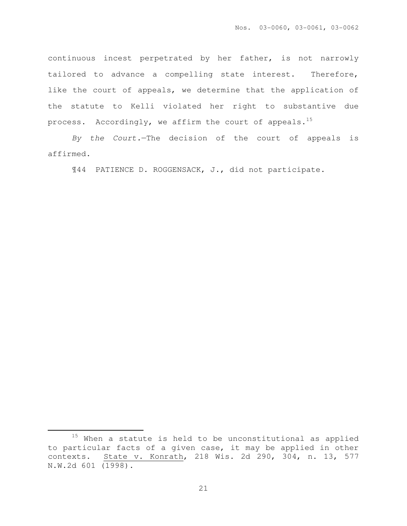continuous incest perpetrated by her father, is not narrowly tailored to advance a compelling state interest. Therefore, like the court of appeals, we determine that the application of the statute to Kelli violated her right to substantive due process. Accordingly, we affirm the court of appeals.<sup>15</sup>

By the Court.—The decision of the court of appeals is affirmed.

¶44 PATIENCE D. ROGGENSACK, J., did not participate.

 $\overline{a}$ 

<sup>&</sup>lt;sup>15</sup> When a statute is held to be unconstitutional as applied to particular facts of a given case, it may be applied in other contexts. State v. Konrath, 218 Wis. 2d 290, 304, n. 13, 577 N.W.2d 601 (1998).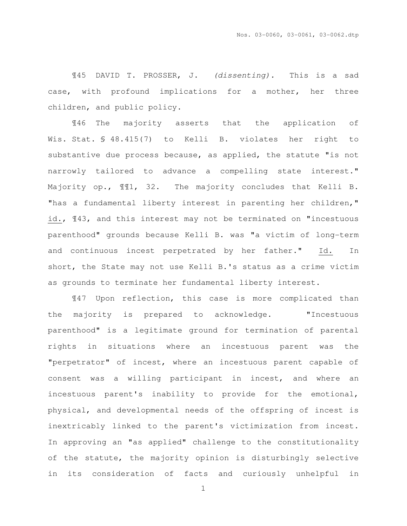¶45 DAVID T. PROSSER, J. (dissenting). This is a sad case, with profound implications for a mother, her three children, and public policy.

¶46 The majority asserts that the application of Wis. Stat. § 48.415(7) to Kelli B. violates her right to substantive due process because, as applied, the statute "is not narrowly tailored to advance a compelling state interest." Majority op., ¶¶1, 32. The majority concludes that Kelli B. "has a fundamental liberty interest in parenting her children," id., ¶43, and this interest may not be terminated on "incestuous parenthood" grounds because Kelli B. was "a victim of long-term and continuous incest perpetrated by her father." Id. In short, the State may not use Kelli B.'s status as a crime victim as grounds to terminate her fundamental liberty interest.

¶47 Upon reflection, this case is more complicated than the majority is prepared to acknowledge. "Incestuous parenthood" is a legitimate ground for termination of parental rights in situations where an incestuous parent was the "perpetrator" of incest, where an incestuous parent capable of consent was a willing participant in incest, and where an incestuous parent's inability to provide for the emotional, physical, and developmental needs of the offspring of incest is inextricably linked to the parent's victimization from incest. In approving an "as applied" challenge to the constitutionality of the statute, the majority opinion is disturbingly selective in its consideration of facts and curiously unhelpful in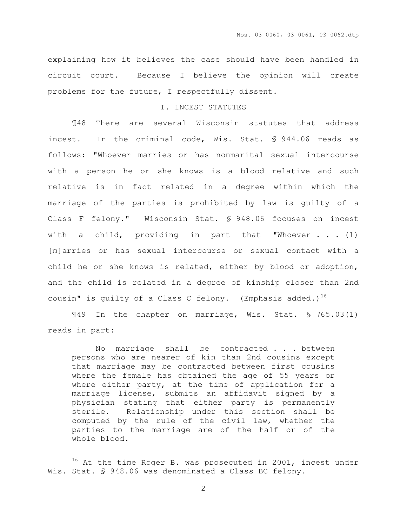explaining how it believes the case should have been handled in circuit court. Because I believe the opinion will create problems for the future, I respectfully dissent.

#### I. INCEST STATUTES

 ¶48 There are several Wisconsin statutes that address incest. In the criminal code, Wis. Stat. § 944.06 reads as follows: "Whoever marries or has nonmarital sexual intercourse with a person he or she knows is a blood relative and such relative is in fact related in a degree within which the marriage of the parties is prohibited by law is guilty of a Class F felony." Wisconsin Stat. § 948.06 focuses on incest with a child, providing in part that "Whoever  $\ldots$  (1) [m]arries or has sexual intercourse or sexual contact with a child he or she knows is related, either by blood or adoption, and the child is related in a degree of kinship closer than 2nd cousin" is quilty of a Class C felony. (Emphasis added.)<sup>16</sup>

 ¶49 In the chapter on marriage, Wis. Stat. § 765.03(1) reads in part:

No marriage shall be contracted . . . between persons who are nearer of kin than 2nd cousins except that marriage may be contracted between first cousins where the female has obtained the age of 55 years or where either party, at the time of application for a marriage license, submits an affidavit signed by a physician stating that either party is permanently sterile. Relationship under this section shall be computed by the rule of the civil law, whether the parties to the marriage are of the half or of the whole blood.

 $\overline{a}$ 

<sup>&</sup>lt;sup>16</sup> At the time Roger B. was prosecuted in 2001, incest under Wis. Stat. § 948.06 was denominated a Class BC felony.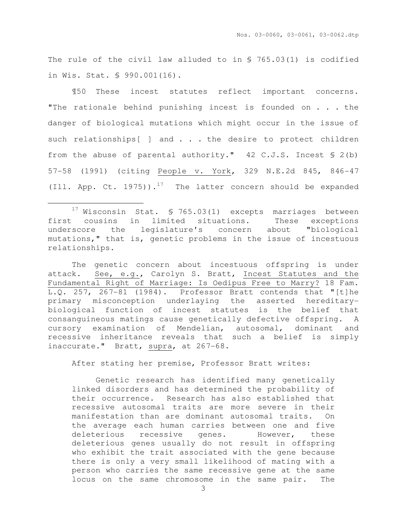The rule of the civil law alluded to in § 765.03(1) is codified in Wis. Stat. § 990.001(16).

 ¶50 These incest statutes reflect important concerns. "The rationale behind punishing incest is founded on . . . the danger of biological mutations which might occur in the issue of such relationships[ ] and . . . the desire to protect children from the abuse of parental authority."  $42 \text{ C.J.S.}$  Incest § 2(b) 57-58 (1991) (citing People v. York, 329 N.E.2d 845, 846-47 (Ill. App. Ct. 1975)).<sup>17</sup> The latter concern should be expanded

l.

The genetic concern about incestuous offspring is under attack. See, e.g., Carolyn S. Bratt, Incest Statutes and the Fundamental Right of Marriage: Is Oedipus Free to Marry? 18 Fam. L.Q. 257, 267-81 (1984). Professor Bratt contends that "[t]he primary misconception underlaying the asserted hereditarybiological function of incest statutes is the belief that consanguineous matings cause genetically defective offspring. A cursory examination of Mendelian, autosomal, dominant and recessive inheritance reveals that such a belief is simply inaccurate." Bratt, supra, at 267-68.

After stating her premise, Professor Bratt writes:

 Genetic research has identified many genetically linked disorders and has determined the probability of their occurrence. Research has also established that recessive autosomal traits are more severe in their manifestation than are dominant autosomal traits. On the average each human carries between one and five deleterious recessive genes. However, these deleterious genes usually do not result in offspring who exhibit the trait associated with the gene because there is only a very small likelihood of mating with a person who carries the same recessive gene at the same locus on the same chromosome in the same pair. The

 $17$  Wisconsin Stat. § 765.03(1) excepts marriages between first cousins in limited situations. These exceptions underscore the legislature's concern about "biological mutations," that is, genetic problems in the issue of incestuous relationships.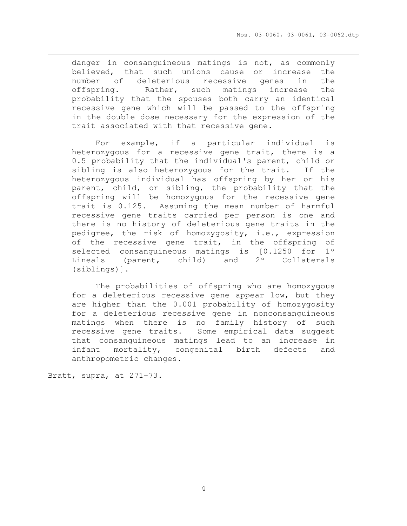danger in consanguineous matings is not, as commonly believed, that such unions cause or increase the number of deleterious recessive genes in the offspring. Rather, such matings increase the probability that the spouses both carry an identical recessive gene which will be passed to the offspring in the double dose necessary for the expression of the trait associated with that recessive gene.

 For example, if a particular individual is heterozygous for a recessive gene trait, there is a 0.5 probability that the individual's parent, child or sibling is also heterozygous for the trait. If the heterozygous individual has offspring by her or his parent, child, or sibling, the probability that the offspring will be homozygous for the recessive gene trait is 0.125. Assuming the mean number of harmful recessive gene traits carried per person is one and there is no history of deleterious gene traits in the pedigree, the risk of homozygosity, i.e., expression of the recessive gene trait, in the offspring of selected consanguineous matings is [0.1250 for 1º Lineals (parent, child) and 2º Collaterals (siblings)].

 The probabilities of offspring who are homozygous for a deleterious recessive gene appear low, but they are higher than the 0.001 probability of homozygosity for a deleterious recessive gene in nonconsanguineous matings when there is no family history of such recessive gene traits. Some empirical data suggest that consanguineous matings lead to an increase in infant mortality, congenital birth defects and anthropometric changes.

Bratt, supra, at 271-73.

 $\overline{a}$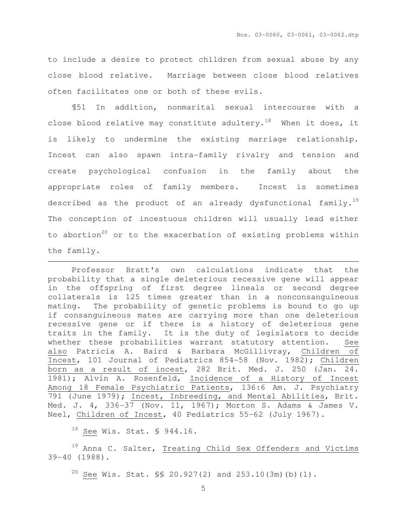to include a desire to protect children from sexual abuse by any close blood relative. Marriage between close blood relatives often facilitates one or both of these evils.

¶51 In addition, nonmarital sexual intercourse with a close blood relative may constitute adultery.<sup>18</sup> When it does, it is likely to undermine the existing marriage relationship. Incest can also spawn intra-family rivalry and tension and create psychological confusion in the family about the appropriate roles of family members. Incest is sometimes described as the product of an already dysfunctional family.<sup>19</sup> The conception of incestuous children will usually lead either to abortion<sup>20</sup> or to the exacerbation of existing problems within the family.

Professor Bratt's own calculations indicate that the probability that a single deleterious recessive gene will appear in the offspring of first degree lineals or second degree collaterals is 125 times greater than in a nonconsanguineous mating. The probability of genetic problems is bound to go up if consanguineous mates are carrying more than one deleterious recessive gene or if there is a history of deleterious gene traits in the family. It is the duty of legislators to decide whether these probabilities warrant statutory attention. See also Patricia A. Baird & Barbara McGillivray, Children of Incest, 101 Journal of Pediatrics 854-58 (Nov. 1982); Children born as a result of incest, 282 Brit. Med. J. 250 (Jan. 24. 1981); Alvin A. Rosenfeld, Incidence of a History of Incest Among 18 Female Psychiatric Patients, 136:6 Am. J. Psychiatry 791 (June 1979); Incest, Inbreeding, and Mental Abilities, Brit. Med. J. 4, 336-37 (Nov. 11, 1967); Morton S. Adams & James V. Neel, Children of Incest, 40 Pediatrics 55-62 (July 1967).

<sup>18</sup> See Wis. Stat. § 944.16.

 $\overline{a}$ 

<sup>19</sup> Anna C. Salter, Treating Child Sex Offenders and Victims 39-40 (1988).

 $20$  See Wis. Stat. §§ 20.927(2) and 253.10(3m)(b)(1).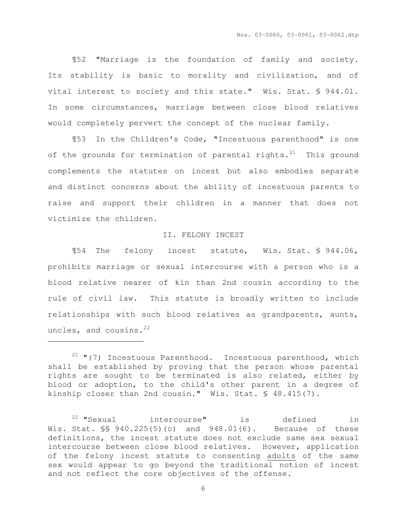¶52 "Marriage is the foundation of family and society. Its stability is basic to morality and civilization, and of vital interest to society and this state." Wis. Stat. § 944.01. In some circumstances, marriage between close blood relatives would completely pervert the concept of the nuclear family.

 ¶53 In the Children's Code, "Incestuous parenthood" is one of the grounds for termination of parental rights. $^{21}$  This ground complements the statutes on incest but also embodies separate and distinct concerns about the ability of incestuous parents to raise and support their children in a manner that does not victimize the children.

### II. FELONY INCEST

 ¶54 The felony incest statute, Wis. Stat. § 944.06, prohibits marriage or sexual intercourse with a person who is a blood relative nearer of kin than 2nd cousin according to the rule of civil law. This statute is broadly written to include relationships with such blood relatives as grandparents, aunts, uncles, and cousins.<sup>22</sup>

 $\overline{a}$ 

 $21$  "(7) Incestuous Parenthood. Incestuous parenthood, which shall be established by proving that the person whose parental rights are sought to be terminated is also related, either by blood or adoption, to the child's other parent in a degree of kinship closer than 2nd cousin." Wis. Stat. § 48.415(7).

<sup>22</sup> "Sexual intercourse" is defined in Wis. Stat. §§ 940.225(5)(c) and 948.01(6). Because of these definitions, the incest statute does not exclude same sex sexual intercourse between close blood relatives. However, application of the felony incest statute to consenting adults of the same sex would appear to go beyond the traditional notion of incest and not reflect the core objectives of the offense.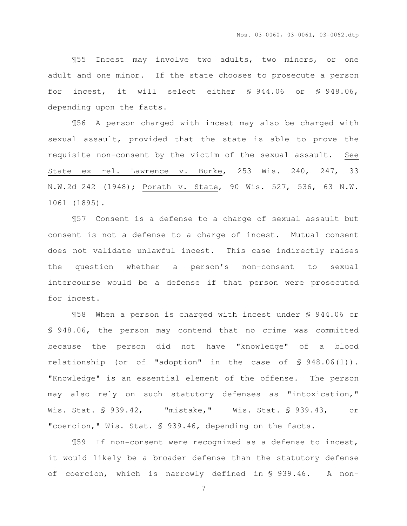¶55 Incest may involve two adults, two minors, or one adult and one minor. If the state chooses to prosecute a person for incest, it will select either § 944.06 or § 948.06, depending upon the facts.

¶56 A person charged with incest may also be charged with sexual assault, provided that the state is able to prove the requisite non-consent by the victim of the sexual assault. See State ex rel. Lawrence v. Burke, 253 Wis. 240, 247, 33 N.W.2d 242 (1948); Porath v. State, 90 Wis. 527, 536, 63 N.W. 1061 (1895).

¶57 Consent is a defense to a charge of sexual assault but consent is not a defense to a charge of incest. Mutual consent does not validate unlawful incest. This case indirectly raises the question whether a person's non-consent to sexual intercourse would be a defense if that person were prosecuted for incest.

¶58 When a person is charged with incest under § 944.06 or § 948.06, the person may contend that no crime was committed because the person did not have "knowledge" of a blood relationship (or of "adoption" in the case of § 948.06(1)). "Knowledge" is an essential element of the offense. The person may also rely on such statutory defenses as "intoxication," Wis. Stat. § 939.42, "mistake," Wis. Stat. § 939.43, or "coercion," Wis. Stat. § 939.46, depending on the facts.

¶59 If non-consent were recognized as a defense to incest, it would likely be a broader defense than the statutory defense of coercion, which is narrowly defined in § 939.46. A non-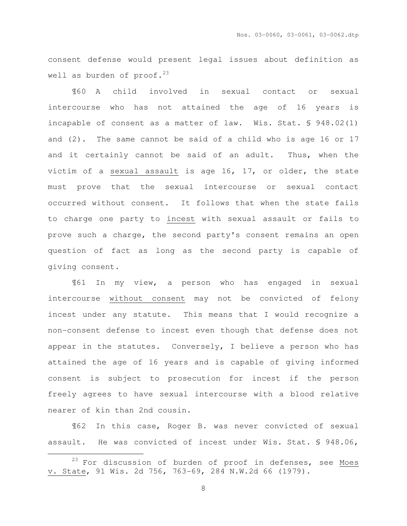consent defense would present legal issues about definition as well as burden of proof.<sup>23</sup>

¶60 A child involved in sexual contact or sexual intercourse who has not attained the age of 16 years is incapable of consent as a matter of law. Wis. Stat. § 948.02(1) and (2). The same cannot be said of a child who is age 16 or 17 and it certainly cannot be said of an adult. Thus, when the victim of a sexual assault is age 16, 17, or older, the state must prove that the sexual intercourse or sexual contact occurred without consent. It follows that when the state fails to charge one party to incest with sexual assault or fails to prove such a charge, the second party's consent remains an open question of fact as long as the second party is capable of giving consent.

¶61 In my view, a person who has engaged in sexual intercourse without consent may not be convicted of felony incest under any statute. This means that I would recognize a non-consent defense to incest even though that defense does not appear in the statutes. Conversely, I believe a person who has attained the age of 16 years and is capable of giving informed consent is subject to prosecution for incest if the person freely agrees to have sexual intercourse with a blood relative nearer of kin than 2nd cousin.

¶62 In this case, Roger B. was never convicted of sexual assault. He was convicted of incest under Wis. Stat. § 948.06,

 $\overline{a}$ 

 $23$  For discussion of burden of proof in defenses, see Moes v. State, 91 Wis. 2d 756, 763-69, 284 N.W.2d 66 (1979).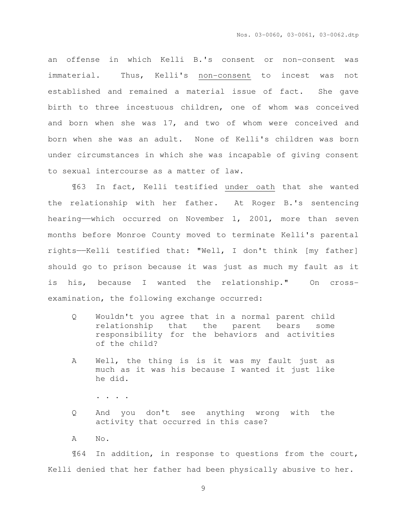an offense in which Kelli B.'s consent or non-consent was immaterial. Thus, Kelli's non-consent to incest was not established and remained a material issue of fact. She gave birth to three incestuous children, one of whom was conceived and born when she was 17, and two of whom were conceived and born when she was an adult. None of Kelli's children was born under circumstances in which she was incapable of giving consent to sexual intercourse as a matter of law.

¶63 In fact, Kelli testified under oath that she wanted the relationship with her father. At Roger B.'s sentencing hearing——which occurred on November 1, 2001, more than seven months before Monroe County moved to terminate Kelli's parental rights——Kelli testified that: "Well, I don't think [my father] should go to prison because it was just as much my fault as it is his, because I wanted the relationship." On crossexamination, the following exchange occurred:

- Q Wouldn't you agree that in a normal parent child relationship that the parent bears some responsibility for the behaviors and activities of the child?
- A Well, the thing is is it was my fault just as much as it was his because I wanted it just like he did.
	- . . . .
- Q And you don't see anything wrong with the activity that occurred in this case?
- A No.

¶64 In addition, in response to questions from the court, Kelli denied that her father had been physically abusive to her.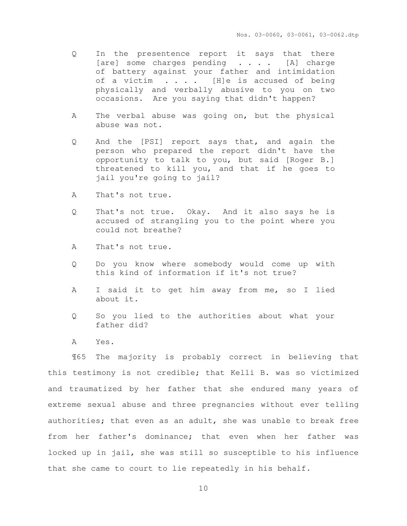- Q In the presentence report it says that there [are] some charges pending . . . . [A] charge of battery against your father and intimidation of a victim . . . . [H]e is accused of being physically and verbally abusive to you on two occasions. Are you saying that didn't happen?
- A The verbal abuse was going on, but the physical abuse was not.
- Q And the [PSI] report says that, and again the person who prepared the report didn't have the opportunity to talk to you, but said [Roger B.] threatened to kill you, and that if he goes to jail you're going to jail?
- A That's not true.
- Q That's not true. Okay. And it also says he is accused of strangling you to the point where you could not breathe?
- A That's not true.
- Q Do you know where somebody would come up with this kind of information if it's not true?
- A I said it to get him away from me, so I lied about it.
- Q So you lied to the authorities about what your father did?
- A Yes.

¶65 The majority is probably correct in believing that this testimony is not credible; that Kelli B. was so victimized and traumatized by her father that she endured many years of extreme sexual abuse and three pregnancies without ever telling authorities; that even as an adult, she was unable to break free from her father's dominance; that even when her father was locked up in jail, she was still so susceptible to his influence that she came to court to lie repeatedly in his behalf.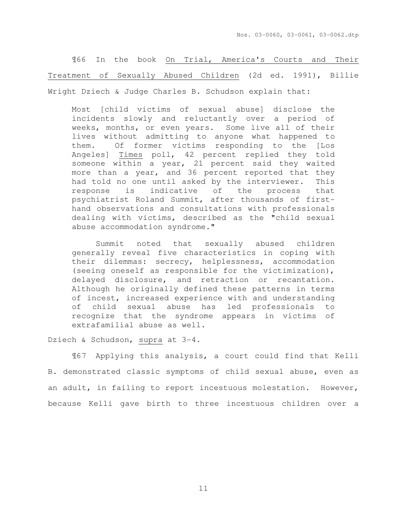¶66 In the book On Trial, America's Courts and Their Treatment of Sexually Abused Children (2d ed. 1991), Billie Wright Dziech & Judge Charles B. Schudson explain that:

Most [child victims of sexual abuse] disclose the incidents slowly and reluctantly over a period of weeks, months, or even years. Some live all of their lives without admitting to anyone what happened to them. Of former victims responding to the [Los Angeles] Times poll, 42 percent replied they told someone within a year, 21 percent said they waited more than a year, and 36 percent reported that they had told no one until asked by the interviewer. This response is indicative of the process that psychiatrist Roland Summit, after thousands of firsthand observations and consultations with professionals dealing with victims, described as the "child sexual abuse accommodation syndrome."

 Summit noted that sexually abused children generally reveal five characteristics in coping with their dilemmas: secrecy, helplessness, accommodation (seeing oneself as responsible for the victimization), delayed disclosure, and retraction or recantation. Although he originally defined these patterns in terms of incest, increased experience with and understanding of child sexual abuse has led professionals to recognize that the syndrome appears in victims of extrafamilial abuse as well.

Dziech & Schudson, supra at 3-4.

 ¶67 Applying this analysis, a court could find that Kelli B. demonstrated classic symptoms of child sexual abuse, even as an adult, in failing to report incestuous molestation. However, because Kelli gave birth to three incestuous children over a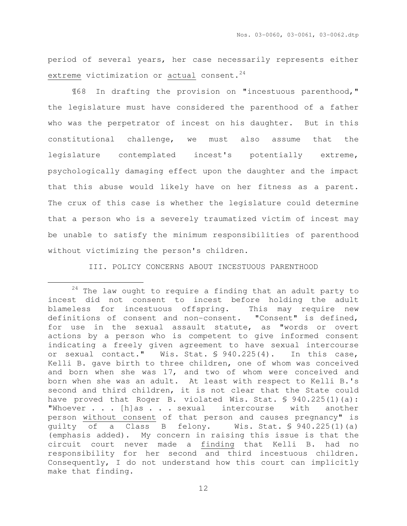period of several years, her case necessarily represents either extreme victimization or actual consent.<sup>24</sup>

 ¶68 In drafting the provision on "incestuous parenthood," the legislature must have considered the parenthood of a father who was the perpetrator of incest on his daughter. But in this constitutional challenge, we must also assume that the legislature contemplated incest's potentially extreme, psychologically damaging effect upon the daughter and the impact that this abuse would likely have on her fitness as a parent. The crux of this case is whether the legislature could determine that a person who is a severely traumatized victim of incest may be unable to satisfy the minimum responsibilities of parenthood without victimizing the person's children.

III. POLICY CONCERNS ABOUT INCESTUOUS PARENTHOOD

 $\overline{a}$ 

<sup>24</sup> The law ought to require a finding that an adult party to incest did not consent to incest before holding the adult blameless for incestuous offspring. This may require new definitions of consent and non-consent. "Consent" is defined, for use in the sexual assault statute, as "words or overt actions by a person who is competent to give informed consent indicating a freely given agreement to have sexual intercourse or sexual contact." Wis. Stat. § 940.225(4). In this case, Kelli B. gave birth to three children, one of whom was conceived and born when she was 17, and two of whom were conceived and born when she was an adult. At least with respect to Kelli B.'s second and third children, it is not clear that the State could have proved that Roger B. violated Wis. Stat. § 940.225(1)(a): "Whoever . . . [h]as . . . sexual intercourse with another person without consent of that person and causes pregnancy" is guilty of a Class B felony. Wis. Stat. § 940.225(1)(a) (emphasis added). My concern in raising this issue is that the circuit court never made a finding that Kelli B. had no responsibility for her second and third incestuous children. Consequently, I do not understand how this court can implicitly make that finding.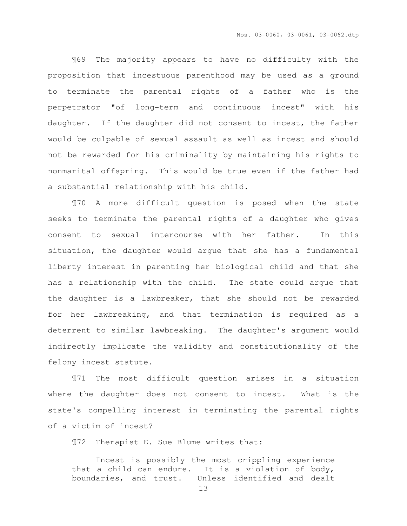¶69 The majority appears to have no difficulty with the proposition that incestuous parenthood may be used as a ground to terminate the parental rights of a father who is the perpetrator "of long-term and continuous incest" with his daughter. If the daughter did not consent to incest, the father would be culpable of sexual assault as well as incest and should not be rewarded for his criminality by maintaining his rights to nonmarital offspring. This would be true even if the father had a substantial relationship with his child.

 ¶70 A more difficult question is posed when the state seeks to terminate the parental rights of a daughter who gives consent to sexual intercourse with her father. In this situation, the daughter would argue that she has a fundamental liberty interest in parenting her biological child and that she has a relationship with the child. The state could argue that the daughter is a lawbreaker, that she should not be rewarded for her lawbreaking, and that termination is required as a deterrent to similar lawbreaking. The daughter's argument would indirectly implicate the validity and constitutionality of the felony incest statute.

¶71 The most difficult question arises in a situation where the daughter does not consent to incest. What is the state's compelling interest in terminating the parental rights of a victim of incest?

¶72 Therapist E. Sue Blume writes that:

 Incest is possibly the most crippling experience that a child can endure. It is a violation of body, boundaries, and trust. Unless identified and dealt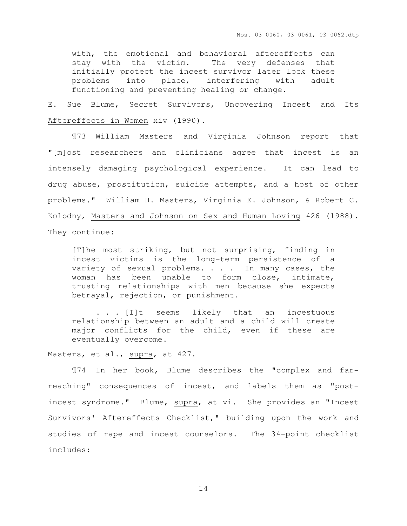with, the emotional and behavioral aftereffects can stay with the victim. The very defenses that initially protect the incest survivor later lock these problems into place, interfering with adult functioning and preventing healing or change.

E. Sue Blume, Secret Survivors, Uncovering Incest and Its Aftereffects in Women xiv (1990).

¶73 William Masters and Virginia Johnson report that "[m]ost researchers and clinicians agree that incest is an intensely damaging psychological experience. It can lead to drug abuse, prostitution, suicide attempts, and a host of other problems." William H. Masters, Virginia E. Johnson, & Robert C. Kolodny, Masters and Johnson on Sex and Human Loving 426 (1988). They continue:

[T]he most striking, but not surprising, finding in incest victims is the long-term persistence of a variety of sexual problems. . . . In many cases, the woman has been unable to form close, intimate, trusting relationships with men because she expects betrayal, rejection, or punishment.

. . . [I]t seems likely that an incestuous relationship between an adult and a child will create major conflicts for the child, even if these are eventually overcome.

Masters, et al., supra, at 427.

¶74 In her book, Blume describes the "complex and farreaching" consequences of incest, and labels them as "postincest syndrome." Blume, supra, at vi. She provides an "Incest Survivors' Aftereffects Checklist," building upon the work and studies of rape and incest counselors. The 34-point checklist includes: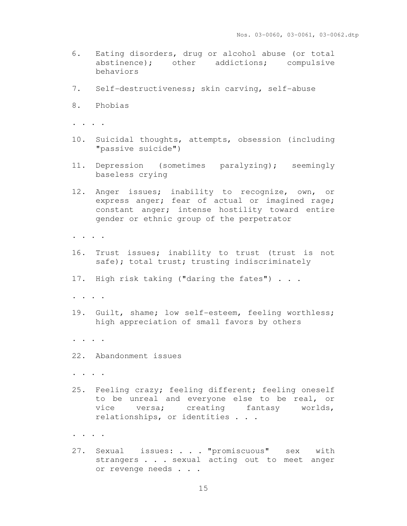- 6. Eating disorders, drug or alcohol abuse (or total abstinence); other addictions; compulsive behaviors
- 7. Self-destructiveness; skin carving, self-abuse
- 8. Phobias
- . . . .
- 10. Suicidal thoughts, attempts, obsession (including "passive suicide")
- 11. Depression (sometimes paralyzing); seemingly baseless crying
- 12. Anger issues; inability to recognize, own, or express anger; fear of actual or imagined rage; constant anger; intense hostility toward entire gender or ethnic group of the perpetrator
- . . . .
- 16. Trust issues; inability to trust (trust is not safe); total trust; trusting indiscriminately
- 17. High risk taking ("daring the fates") . . .
- . . . .
- 19. Guilt, shame; low self-esteem, feeling worthless; high appreciation of small favors by others
- . . . .
- 22. Abandonment issues
- . . . .
- 25. Feeling crazy; feeling different; feeling oneself to be unreal and everyone else to be real, or vice versa; creating fantasy worlds, relationships, or identities . . .
- . . . .
- 27. Sexual issues: . . . "promiscuous" sex with strangers . . . sexual acting out to meet anger or revenge needs . . .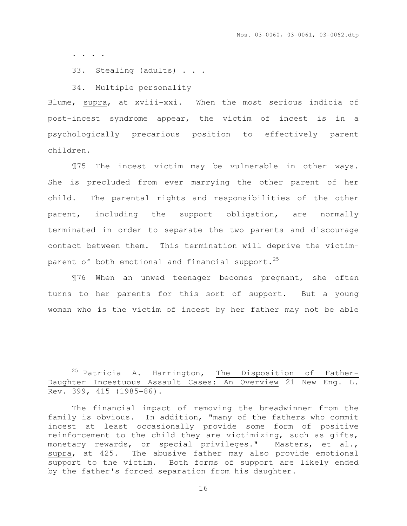. . . .

 $\overline{a}$ 

33. Stealing (adults) . . .

34. Multiple personality

Blume, supra, at xviii-xxi. When the most serious indicia of post-incest syndrome appear, the victim of incest is in a psychologically precarious position to effectively parent children.

¶75 The incest victim may be vulnerable in other ways. She is precluded from ever marrying the other parent of her child. The parental rights and responsibilities of the other parent, including the support obligation, are normally terminated in order to separate the two parents and discourage contact between them. This termination will deprive the victimparent of both emotional and financial support. $25$ 

¶76 When an unwed teenager becomes pregnant, she often turns to her parents for this sort of support. But a young woman who is the victim of incest by her father may not be able

<sup>&</sup>lt;sup>25</sup> Patricia A. Harrington, The Disposition of Father-Daughter Incestuous Assault Cases: An Overview 21 New Eng. L. Rev. 399, 415 (1985-86).

The financial impact of removing the breadwinner from the family is obvious. In addition, "many of the fathers who commit incest at least occasionally provide some form of positive reinforcement to the child they are victimizing, such as gifts, monetary rewards, or special privileges." Masters, et al., supra, at 425. The abusive father may also provide emotional support to the victim. Both forms of support are likely ended by the father's forced separation from his daughter.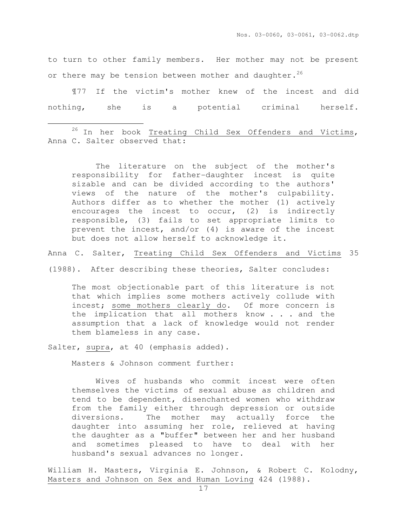to turn to other family members. Her mother may not be present or there may be tension between mother and daughter.<sup>26</sup>

¶77 If the victim's mother knew of the incest and did nothing, she is a potential criminal herself.

<sup>26</sup> In her book Treating Child Sex Offenders and Victims, Anna C. Salter observed that:

The literature on the subject of the mother's responsibility for father-daughter incest is quite sizable and can be divided according to the authors' views of the nature of the mother's culpability. Authors differ as to whether the mother (1) actively encourages the incest to occur, (2) is indirectly responsible, (3) fails to set appropriate limits to prevent the incest, and/or (4) is aware of the incest but does not allow herself to acknowledge it.

Anna C. Salter, Treating Child Sex Offenders and Victims 35

(1988). After describing these theories, Salter concludes:

The most objectionable part of this literature is not that which implies some mothers actively collude with incest; some mothers clearly do. Of more concern is the implication that all mothers know . . . and the assumption that a lack of knowledge would not render them blameless in any case.

Salter, supra, at 40 (emphasis added).

l.

Masters & Johnson comment further:

 Wives of husbands who commit incest were often themselves the victims of sexual abuse as children and tend to be dependent, disenchanted women who withdraw from the family either through depression or outside diversions. The mother may actually force the daughter into assuming her role, relieved at having the daughter as a "buffer" between her and her husband and sometimes pleased to have to deal with her husband's sexual advances no longer.

William H. Masters, Virginia E. Johnson, & Robert C. Kolodny, Masters and Johnson on Sex and Human Loving 424 (1988).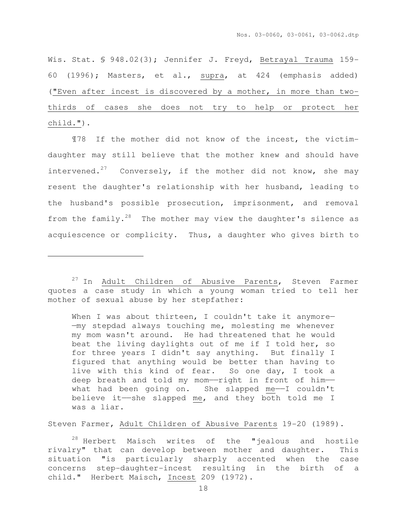Wis. Stat. § 948.02(3); Jennifer J. Freyd, Betrayal Trauma 159-60 (1996); Masters, et al., supra, at 424 (emphasis added) ("Even after incest is discovered by a mother, in more than twothirds of cases she does not try to help or protect her child.").

¶78 If the mother did not know of the incest, the victimdaughter may still believe that the mother knew and should have intervened.<sup>27</sup> Conversely, if the mother did not know, she may resent the daughter's relationship with her husband, leading to the husband's possible prosecution, imprisonment, and removal from the family.<sup>28</sup> The mother may view the daughter's silence as acquiescence or complicity. Thus, a daughter who gives birth to

 $\overline{a}$ 

When I was about thirteen, I couldn't take it anymore-—my stepdad always touching me, molesting me whenever my mom wasn't around. He had threatened that he would beat the living daylights out of me if I told her, so for three years I didn't say anything. But finally I figured that anything would be better than having to live with this kind of fear. So one day, I took a deep breath and told my mom--right in front of him-what had been going on. She slapped me——I couldn't believe it——she slapped me, and they both told me I was a liar.

Steven Farmer, Adult Children of Abusive Parents 19-20 (1989).

<sup>28</sup> Herbert Maisch writes of the "jealous and hostile rivalry" that can develop between mother and daughter. This situation "is particularly sharply accented when the case concerns step-daughter-incest resulting in the birth of a child." Herbert Maisch, Incest 209 (1972).

<sup>&</sup>lt;sup>27</sup> In Adult Children of Abusive Parents, Steven Farmer quotes a case study in which a young woman tried to tell her mother of sexual abuse by her stepfather: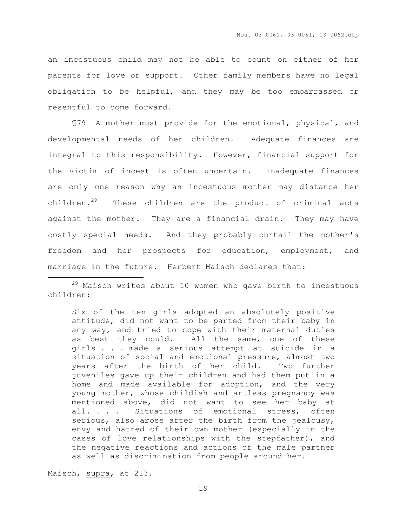an incestuous child may not be able to count on either of her parents for love or support. Other family members have no legal obligation to be helpful, and they may be too embarrassed or resentful to come forward.

¶79 A mother must provide for the emotional, physical, and developmental needs of her children. Adequate finances are integral to this responsibility. However, financial support for the victim of incest is often uncertain. Inadequate finances are only one reason why an incestuous mother may distance her children.<sup>29</sup> These children are the product of criminal acts against the mother. They are a financial drain. They may have costly special needs. And they probably curtail the mother's freedom and her prospects for education, employment, and marriage in the future. Herbert Maisch declares that:

 $29$  Maisch writes about 10 women who gave birth to incestuous children:

Six of the ten girls adopted an absolutely positive attitude, did not want to be parted from their baby in any way, and tried to cope with their maternal duties as best they could. All the same, one of these girls . . . made a serious attempt at suicide in a situation of social and emotional pressure, almost two years after the birth of her child. Two further juveniles gave up their children and had them put in a home and made available for adoption, and the very young mother, whose childish and artless pregnancy was mentioned above, did not want to see her baby at all. . . . Situations of emotional stress, often serious, also arose after the birth from the jealousy, envy and hatred of their own mother (especially in the cases of love relationships with the stepfather), and the negative reactions and actions of the male partner as well as discrimination from people around her.

Maisch, supra, at 213.

 $\overline{a}$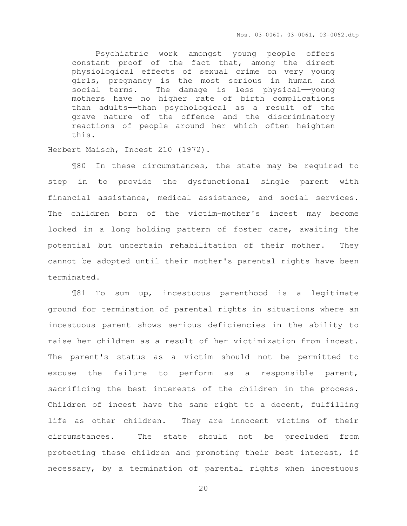Nos. 03-0060, 03-0061, 03-0062.dtp

 Psychiatric work amongst young people offers constant proof of the fact that, among the direct physiological effects of sexual crime on very young girls, pregnancy is the most serious in human and social terms. The damage is less physical——young mothers have no higher rate of birth complications than adults——than psychological as a result of the grave nature of the offence and the discriminatory reactions of people around her which often heighten this.

Herbert Maisch, Incest 210 (1972).

¶80 In these circumstances, the state may be required to step in to provide the dysfunctional single parent with financial assistance, medical assistance, and social services. The children born of the victim-mother's incest may become locked in a long holding pattern of foster care, awaiting the potential but uncertain rehabilitation of their mother. They cannot be adopted until their mother's parental rights have been terminated.

¶81 To sum up, incestuous parenthood is a legitimate ground for termination of parental rights in situations where an incestuous parent shows serious deficiencies in the ability to raise her children as a result of her victimization from incest. The parent's status as a victim should not be permitted to excuse the failure to perform as a responsible parent, sacrificing the best interests of the children in the process. Children of incest have the same right to a decent, fulfilling life as other children. They are innocent victims of their circumstances. The state should not be precluded from protecting these children and promoting their best interest, if necessary, by a termination of parental rights when incestuous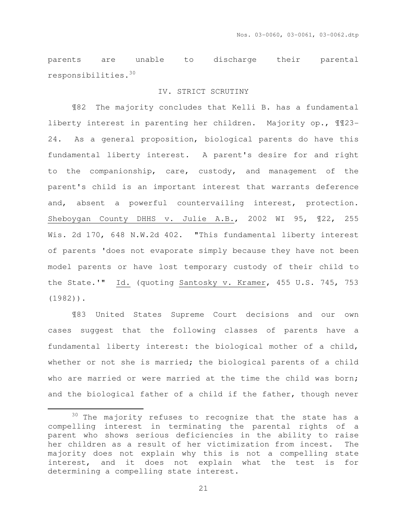parents are unable to discharge their parental responsibilities.<sup>30</sup>

## IV. STRICT SCRUTINY

 ¶82 The majority concludes that Kelli B. has a fundamental liberty interest in parenting her children. Majority op., ¶¶23- 24. As a general proposition, biological parents do have this fundamental liberty interest. A parent's desire for and right to the companionship, care, custody, and management of the parent's child is an important interest that warrants deference and, absent a powerful countervailing interest, protection. Sheboygan County DHHS v. Julie A.B., 2002 WI 95, ¶22, 255 Wis. 2d 170, 648 N.W.2d 402. "This fundamental liberty interest of parents 'does not evaporate simply because they have not been model parents or have lost temporary custody of their child to the State.'" Id. (quoting Santosky v. Kramer, 455 U.S. 745, 753 (1982)).

 ¶83 United States Supreme Court decisions and our own cases suggest that the following classes of parents have a fundamental liberty interest: the biological mother of a child, whether or not she is married; the biological parents of a child who are married or were married at the time the child was born; and the biological father of a child if the father, though never

 $\overline{a}$ 

<sup>&</sup>lt;sup>30</sup> The majority refuses to recognize that the state has a compelling interest in terminating the parental rights of a parent who shows serious deficiencies in the ability to raise her children as a result of her victimization from incest. The majority does not explain why this is not a compelling state interest, and it does not explain what the test is for determining a compelling state interest.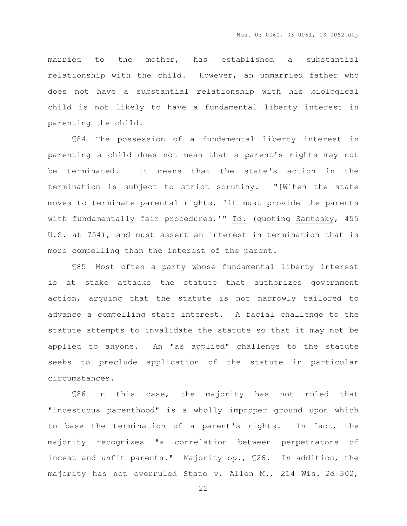married to the mother, has established a substantial relationship with the child. However, an unmarried father who does not have a substantial relationship with his biological child is not likely to have a fundamental liberty interest in parenting the child.

 ¶84 The possession of a fundamental liberty interest in parenting a child does not mean that a parent's rights may not be terminated. It means that the state's action in the termination is subject to strict scrutiny. "[W]hen the state moves to terminate parental rights, 'it must provide the parents with fundamentally fair procedures,'" Id. (quoting Santosky, 455 U.S. at 754), and must assert an interest in termination that is more compelling than the interest of the parent.

 ¶85 Most often a party whose fundamental liberty interest is at stake attacks the statute that authorizes government action, arguing that the statute is not narrowly tailored to advance a compelling state interest. A facial challenge to the statute attempts to invalidate the statute so that it may not be applied to anyone. An "as applied" challenge to the statute seeks to preclude application of the statute in particular circumstances.

 ¶86 In this case, the majority has not ruled that "incestuous parenthood" is a wholly improper ground upon which to base the termination of a parent's rights. In fact, the majority recognizes "a correlation between perpetrators of incest and unfit parents." Majority op., ¶26. In addition, the majority has not overruled State v. Allen M., 214 Wis. 2d 302,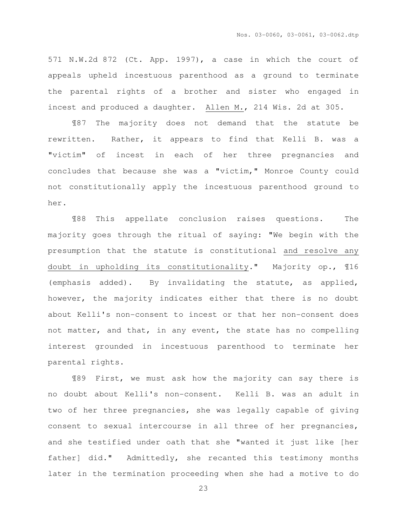571 N.W.2d 872 (Ct. App. 1997), a case in which the court of appeals upheld incestuous parenthood as a ground to terminate the parental rights of a brother and sister who engaged in incest and produced a daughter. Allen M., 214 Wis. 2d at 305.

 ¶87 The majority does not demand that the statute be rewritten. Rather, it appears to find that Kelli B. was a "victim" of incest in each of her three pregnancies and concludes that because she was a "victim," Monroe County could not constitutionally apply the incestuous parenthood ground to her.

 ¶88 This appellate conclusion raises questions. The majority goes through the ritual of saying: "We begin with the presumption that the statute is constitutional and resolve any doubt in upholding its constitutionality." Majority op., ¶16 (emphasis added). By invalidating the statute, as applied, however, the majority indicates either that there is no doubt about Kelli's non-consent to incest or that her non-consent does not matter, and that, in any event, the state has no compelling interest grounded in incestuous parenthood to terminate her parental rights.

 ¶89 First, we must ask how the majority can say there is no doubt about Kelli's non-consent. Kelli B. was an adult in two of her three pregnancies, she was legally capable of giving consent to sexual intercourse in all three of her pregnancies, and she testified under oath that she "wanted it just like [her father] did." Admittedly, she recanted this testimony months later in the termination proceeding when she had a motive to do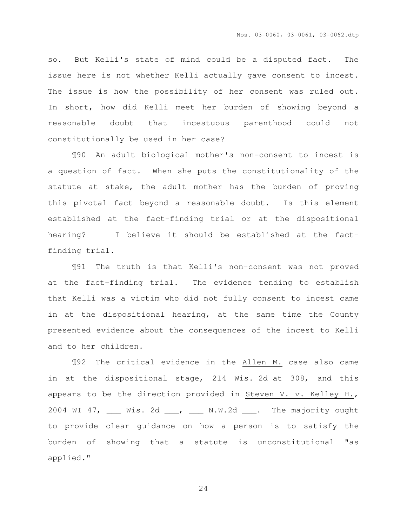so. But Kelli's state of mind could be a disputed fact. The issue here is not whether Kelli actually gave consent to incest. The issue is how the possibility of her consent was ruled out. In short, how did Kelli meet her burden of showing beyond a reasonable doubt that incestuous parenthood could not constitutionally be used in her case?

¶90 An adult biological mother's non-consent to incest is a question of fact. When she puts the constitutionality of the statute at stake, the adult mother has the burden of proving this pivotal fact beyond a reasonable doubt. Is this element established at the fact-finding trial or at the dispositional hearing? I believe it should be established at the factfinding trial.

¶91 The truth is that Kelli's non-consent was not proved at the fact-finding trial. The evidence tending to establish that Kelli was a victim who did not fully consent to incest came in at the dispositional hearing, at the same time the County presented evidence about the consequences of the incest to Kelli and to her children.

¶92 The critical evidence in the Allen M. case also came in at the dispositional stage, 214 Wis. 2d at 308, and this appears to be the direction provided in Steven V. v. Kelley H., 2004 WI 47, \_\_\_ Wis. 2d \_\_\_, \_\_\_ N.W.2d \_\_\_. The majority ought to provide clear guidance on how a person is to satisfy the burden of showing that a statute is unconstitutional "as applied."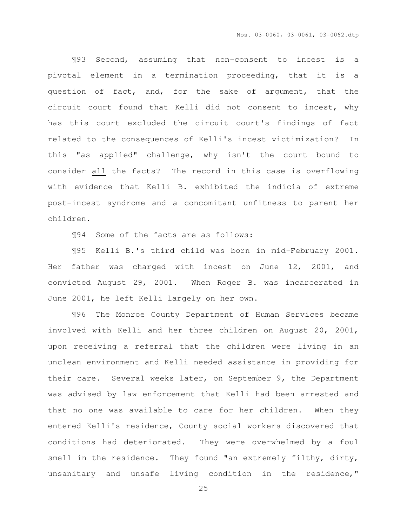¶93 Second, assuming that non-consent to incest is a pivotal element in a termination proceeding, that it is a question of fact, and, for the sake of argument, that the circuit court found that Kelli did not consent to incest, why has this court excluded the circuit court's findings of fact related to the consequences of Kelli's incest victimization? In this "as applied" challenge, why isn't the court bound to consider all the facts? The record in this case is overflowing with evidence that Kelli B. exhibited the indicia of extreme post-incest syndrome and a concomitant unfitness to parent her children.

¶94 Some of the facts are as follows:

¶95 Kelli B.'s third child was born in mid-February 2001. Her father was charged with incest on June 12, 2001, and convicted August 29, 2001. When Roger B. was incarcerated in June 2001, he left Kelli largely on her own.

¶96 The Monroe County Department of Human Services became involved with Kelli and her three children on August 20, 2001, upon receiving a referral that the children were living in an unclean environment and Kelli needed assistance in providing for their care. Several weeks later, on September 9, the Department was advised by law enforcement that Kelli had been arrested and that no one was available to care for her children. When they entered Kelli's residence, County social workers discovered that conditions had deteriorated. They were overwhelmed by a foul smell in the residence. They found "an extremely filthy, dirty, unsanitary and unsafe living condition in the residence,"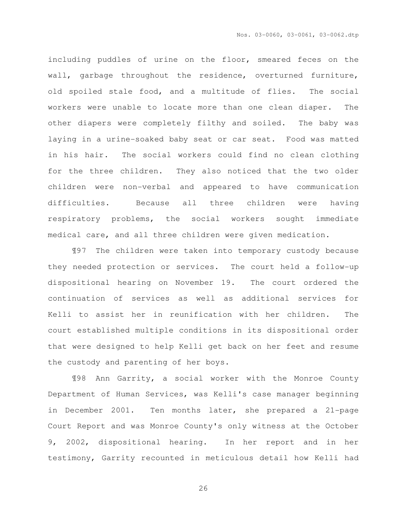including puddles of urine on the floor, smeared feces on the wall, garbage throughout the residence, overturned furniture, old spoiled stale food, and a multitude of flies. The social workers were unable to locate more than one clean diaper. The other diapers were completely filthy and soiled. The baby was laying in a urine-soaked baby seat or car seat. Food was matted in his hair. The social workers could find no clean clothing for the three children. They also noticed that the two older children were non-verbal and appeared to have communication difficulties. Because all three children were having respiratory problems, the social workers sought immediate medical care, and all three children were given medication.

¶97 The children were taken into temporary custody because they needed protection or services. The court held a follow-up dispositional hearing on November 19. The court ordered the continuation of services as well as additional services for Kelli to assist her in reunification with her children. The court established multiple conditions in its dispositional order that were designed to help Kelli get back on her feet and resume the custody and parenting of her boys.

¶98 Ann Garrity, a social worker with the Monroe County Department of Human Services, was Kelli's case manager beginning in December 2001. Ten months later, she prepared a 21-page Court Report and was Monroe County's only witness at the October 9, 2002, dispositional hearing. In her report and in her testimony, Garrity recounted in meticulous detail how Kelli had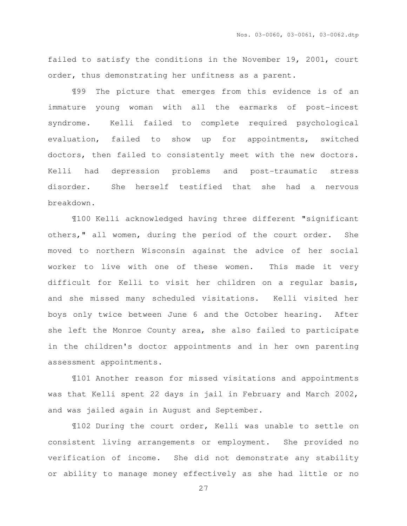failed to satisfy the conditions in the November 19, 2001, court order, thus demonstrating her unfitness as a parent.

¶99 The picture that emerges from this evidence is of an immature young woman with all the earmarks of post-incest syndrome. Kelli failed to complete required psychological evaluation, failed to show up for appointments, switched doctors, then failed to consistently meet with the new doctors. Kelli had depression problems and post-traumatic stress disorder. She herself testified that she had a nervous breakdown.

¶100 Kelli acknowledged having three different "significant others," all women, during the period of the court order. She moved to northern Wisconsin against the advice of her social worker to live with one of these women. This made it very difficult for Kelli to visit her children on a regular basis, and she missed many scheduled visitations. Kelli visited her boys only twice between June 6 and the October hearing. After she left the Monroe County area, she also failed to participate in the children's doctor appointments and in her own parenting assessment appointments.

¶101 Another reason for missed visitations and appointments was that Kelli spent 22 days in jail in February and March 2002, and was jailed again in August and September.

¶102 During the court order, Kelli was unable to settle on consistent living arrangements or employment. She provided no verification of income. She did not demonstrate any stability or ability to manage money effectively as she had little or no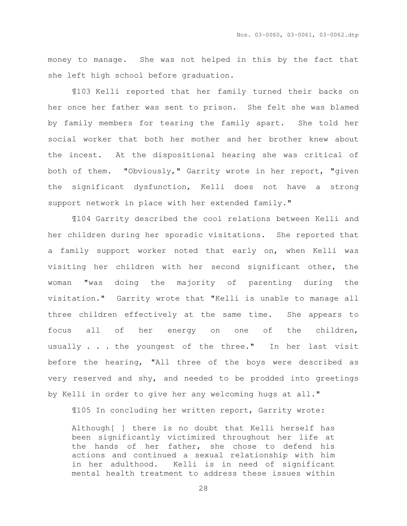money to manage. She was not helped in this by the fact that she left high school before graduation.

¶103 Kelli reported that her family turned their backs on her once her father was sent to prison. She felt she was blamed by family members for tearing the family apart. She told her social worker that both her mother and her brother knew about the incest. At the dispositional hearing she was critical of both of them. "Obviously," Garrity wrote in her report, "given the significant dysfunction, Kelli does not have a strong support network in place with her extended family."

¶104 Garrity described the cool relations between Kelli and her children during her sporadic visitations. She reported that a family support worker noted that early on, when Kelli was visiting her children with her second significant other, the woman "was doing the majority of parenting during the visitation." Garrity wrote that "Kelli is unable to manage all three children effectively at the same time. She appears to focus all of her energy on one of the children, usually . . . the youngest of the three." In her last visit before the hearing, "All three of the boys were described as very reserved and shy, and needed to be prodded into greetings by Kelli in order to give her any welcoming hugs at all."

¶105 In concluding her written report, Garrity wrote:

Although[ ] there is no doubt that Kelli herself has been significantly victimized throughout her life at the hands of her father, she chose to defend his actions and continued a sexual relationship with him in her adulthood. Kelli is in need of significant mental health treatment to address these issues within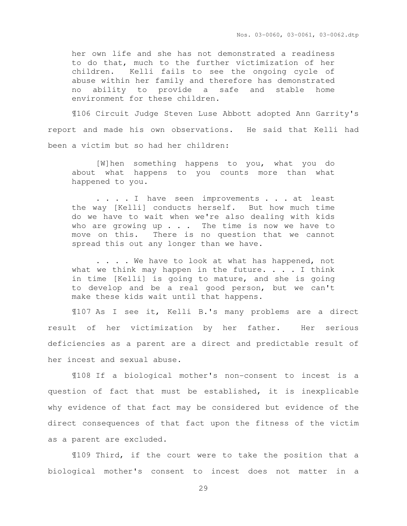Nos. 03-0060, 03-0061, 03-0062.dtp

her own life and she has not demonstrated a readiness to do that, much to the further victimization of her children. Kelli fails to see the ongoing cycle of abuse within her family and therefore has demonstrated no ability to provide a safe and stable home environment for these children.

 ¶106 Circuit Judge Steven Luse Abbott adopted Ann Garrity's report and made his own observations. He said that Kelli had been a victim but so had her children:

[W]hen something happens to you, what you do about what happens to you counts more than what happened to you.

. . . . I have seen improvements . . . at least the way [Kelli] conducts herself. But how much time do we have to wait when we're also dealing with kids who are growing up  $\ldots$  . The time is now we have to move on this. There is no question that we cannot spread this out any longer than we have.

. . . . We have to look at what has happened, not what we think may happen in the future.  $\ldots$  . I think in time [Kelli] is going to mature, and she is going to develop and be a real good person, but we can't make these kids wait until that happens.

¶107 As I see it, Kelli B.'s many problems are a direct result of her victimization by her father. Her serious deficiencies as a parent are a direct and predictable result of her incest and sexual abuse.

¶108 If a biological mother's non-consent to incest is a question of fact that must be established, it is inexplicable why evidence of that fact may be considered but evidence of the direct consequences of that fact upon the fitness of the victim as a parent are excluded.

¶109 Third, if the court were to take the position that a biological mother's consent to incest does not matter in a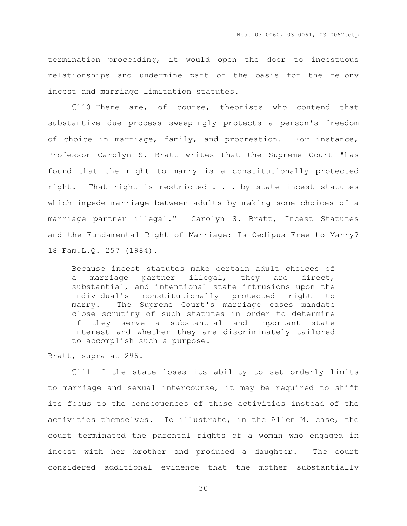termination proceeding, it would open the door to incestuous relationships and undermine part of the basis for the felony incest and marriage limitation statutes.

¶110 There are, of course, theorists who contend that substantive due process sweepingly protects a person's freedom of choice in marriage, family, and procreation. For instance, Professor Carolyn S. Bratt writes that the Supreme Court "has found that the right to marry is a constitutionally protected right. That right is restricted . . . by state incest statutes which impede marriage between adults by making some choices of a marriage partner illegal." Carolyn S. Bratt, Incest Statutes and the Fundamental Right of Marriage: Is Oedipus Free to Marry? 18 Fam.L.Q. 257 (1984).

Because incest statutes make certain adult choices of a marriage partner illegal, they are direct, substantial, and intentional state intrusions upon the individual's constitutionally protected right to marry. The Supreme Court's marriage cases mandate close scrutiny of such statutes in order to determine if they serve a substantial and important state interest and whether they are discriminately tailored to accomplish such a purpose.

Bratt, supra at 296.

¶111 If the state loses its ability to set orderly limits to marriage and sexual intercourse, it may be required to shift its focus to the consequences of these activities instead of the activities themselves. To illustrate, in the Allen M. case, the court terminated the parental rights of a woman who engaged in incest with her brother and produced a daughter. The court considered additional evidence that the mother substantially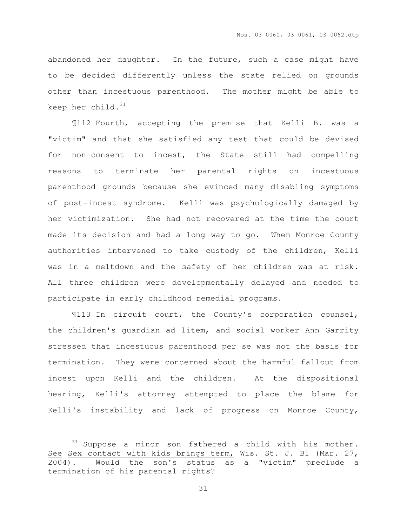abandoned her daughter. In the future, such a case might have to be decided differently unless the state relied on grounds other than incestuous parenthood. The mother might be able to keep her child. $31$ 

¶112 Fourth, accepting the premise that Kelli B. was a "victim" and that she satisfied any test that could be devised for non-consent to incest, the State still had compelling reasons to terminate her parental rights on incestuous parenthood grounds because she evinced many disabling symptoms of post-incest syndrome. Kelli was psychologically damaged by her victimization. She had not recovered at the time the court made its decision and had a long way to go. When Monroe County authorities intervened to take custody of the children, Kelli was in a meltdown and the safety of her children was at risk. All three children were developmentally delayed and needed to participate in early childhood remedial programs.

¶113 In circuit court, the County's corporation counsel, the children's guardian ad litem, and social worker Ann Garrity stressed that incestuous parenthood per se was not the basis for termination. They were concerned about the harmful fallout from incest upon Kelli and the children. At the dispositional hearing, Kelli's attorney attempted to place the blame for Kelli's instability and lack of progress on Monroe County,

 $\overline{a}$ 

 $31$  Suppose a minor son fathered a child with his mother. See Sex contact with kids brings term, Wis. St. J. B1 (Mar. 27, 2004). Would the son's status as a "victim" preclude a termination of his parental rights?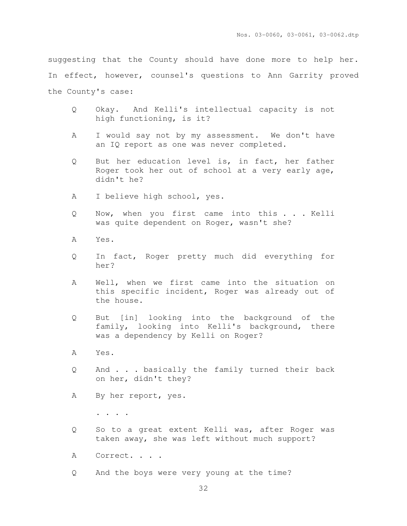suggesting that the County should have done more to help her. In effect, however, counsel's questions to Ann Garrity proved the County's case:

- Q Okay. And Kelli's intellectual capacity is not high functioning, is it?
- A I would say not by my assessment. We don't have an IQ report as one was never completed.
- Q But her education level is, in fact, her father Roger took her out of school at a very early age, didn't he?
- A I believe high school, yes.
- Q Now, when you first came into this . . . Kelli was quite dependent on Roger, wasn't she?
- A Yes.
- Q In fact, Roger pretty much did everything for her?
- A Well, when we first came into the situation on this specific incident, Roger was already out of the house.
- Q But [in] looking into the background of the family, looking into Kelli's background, there was a dependency by Kelli on Roger?
- A Yes.
- Q And . . . basically the family turned their back on her, didn't they?
- A By her report, yes.

. . . .

- Q So to a great extent Kelli was, after Roger was taken away, she was left without much support?
- A Correct. . . .
- Q And the boys were very young at the time?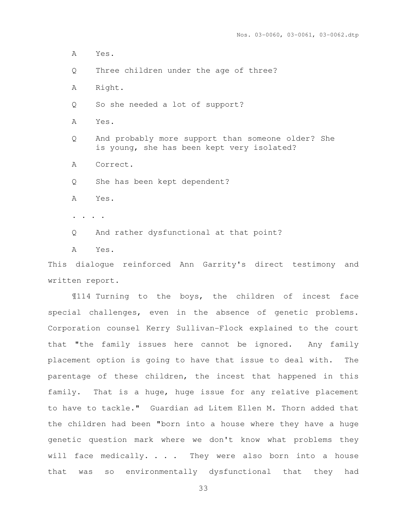A Yes.

Q Three children under the age of three?

A Right.

Q So she needed a lot of support?

A Yes.

Q And probably more support than someone older? She is young, she has been kept very isolated?

A Correct.

Q She has been kept dependent?

A Yes.

. . . .

Q And rather dysfunctional at that point?

A Yes.

This dialogue reinforced Ann Garrity's direct testimony and written report.

 ¶114 Turning to the boys, the children of incest face special challenges, even in the absence of genetic problems. Corporation counsel Kerry Sullivan-Flock explained to the court that "the family issues here cannot be ignored. Any family placement option is going to have that issue to deal with. The parentage of these children, the incest that happened in this family. That is a huge, huge issue for any relative placement to have to tackle." Guardian ad Litem Ellen M. Thorn added that the children had been "born into a house where they have a huge genetic question mark where we don't know what problems they will face medically. . . . They were also born into a house that was so environmentally dysfunctional that they had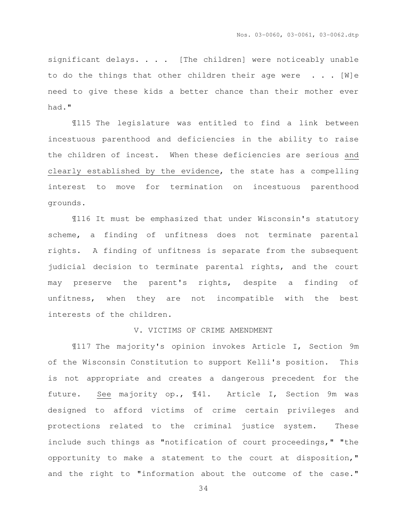significant delays. . . . [The children] were noticeably unable to do the things that other children their age were  $\ldots$ . [W]e need to give these kids a better chance than their mother ever had."

 ¶115 The legislature was entitled to find a link between incestuous parenthood and deficiencies in the ability to raise the children of incest. When these deficiencies are serious and clearly established by the evidence, the state has a compelling interest to move for termination on incestuous parenthood grounds.

 ¶116 It must be emphasized that under Wisconsin's statutory scheme, a finding of unfitness does not terminate parental rights. A finding of unfitness is separate from the subsequent judicial decision to terminate parental rights, and the court may preserve the parent's rights, despite a finding of unfitness, when they are not incompatible with the best interests of the children.

#### V. VICTIMS OF CRIME AMENDMENT

 ¶117 The majority's opinion invokes Article I, Section 9m of the Wisconsin Constitution to support Kelli's position. This is not appropriate and creates a dangerous precedent for the future. See majority op., ¶41. Article I, Section 9m was designed to afford victims of crime certain privileges and protections related to the criminal justice system. These include such things as "notification of court proceedings," "the opportunity to make a statement to the court at disposition," and the right to "information about the outcome of the case."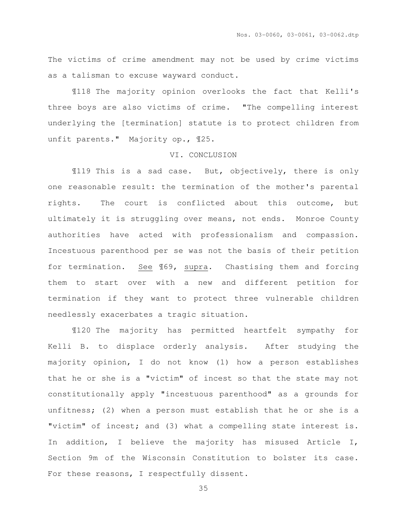The victims of crime amendment may not be used by crime victims as a talisman to excuse wayward conduct.

 ¶118 The majority opinion overlooks the fact that Kelli's three boys are also victims of crime. "The compelling interest underlying the [termination] statute is to protect children from unfit parents." Majority op., ¶25.

#### VI. CONCLUSION

 ¶119 This is a sad case. But, objectively, there is only one reasonable result: the termination of the mother's parental rights. The court is conflicted about this outcome, but ultimately it is struggling over means, not ends. Monroe County authorities have acted with professionalism and compassion. Incestuous parenthood per se was not the basis of their petition for termination. See ¶69, supra. Chastising them and forcing them to start over with a new and different petition for termination if they want to protect three vulnerable children needlessly exacerbates a tragic situation.

 ¶120 The majority has permitted heartfelt sympathy for Kelli B. to displace orderly analysis. After studying the majority opinion, I do not know (1) how a person establishes that he or she is a "victim" of incest so that the state may not constitutionally apply "incestuous parenthood" as a grounds for unfitness; (2) when a person must establish that he or she is a "victim" of incest; and (3) what a compelling state interest is. In addition, I believe the majority has misused Article I, Section 9m of the Wisconsin Constitution to bolster its case. For these reasons, I respectfully dissent.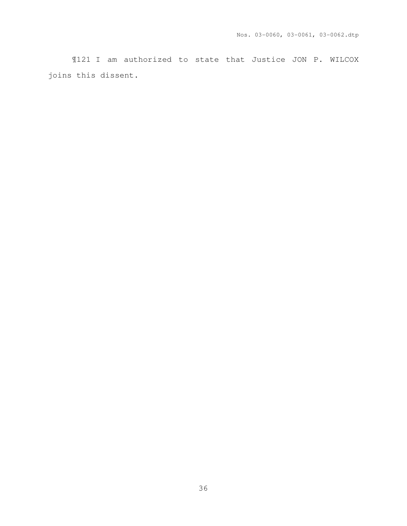¶121 I am authorized to state that Justice JON P. WILCOX joins this dissent.